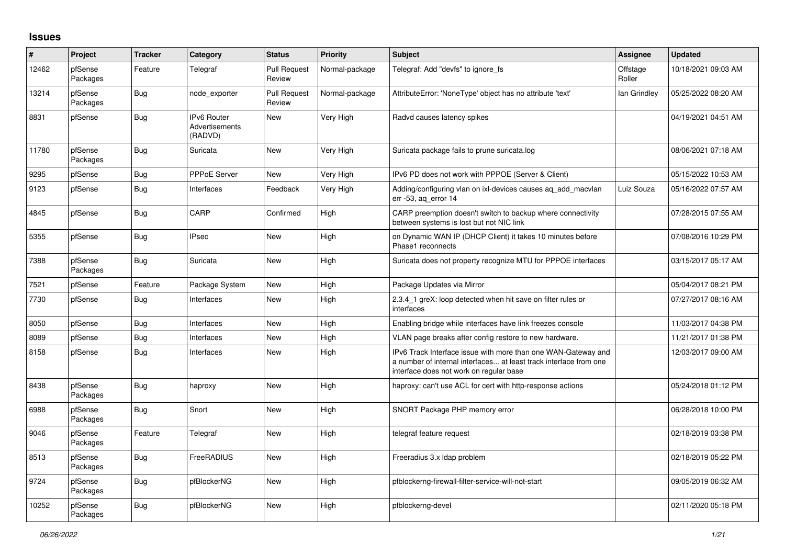## **Issues**

| $\vert$ # | Project             | <b>Tracker</b> | Category                                        | <b>Status</b>                 | <b>Priority</b> | <b>Subject</b>                                                                                                                                                                | <b>Assignee</b>    | <b>Updated</b>      |
|-----------|---------------------|----------------|-------------------------------------------------|-------------------------------|-----------------|-------------------------------------------------------------------------------------------------------------------------------------------------------------------------------|--------------------|---------------------|
| 12462     | pfSense<br>Packages | Feature        | Telegraf                                        | <b>Pull Request</b><br>Review | Normal-package  | Telegraf: Add "devfs" to ignore fs                                                                                                                                            | Offstage<br>Roller | 10/18/2021 09:03 AM |
| 13214     | pfSense<br>Packages | <b>Bug</b>     | node exporter                                   | <b>Pull Request</b><br>Review | Normal-package  | AttributeError: 'NoneType' object has no attribute 'text'                                                                                                                     | lan Grindley       | 05/25/2022 08:20 AM |
| 8831      | pfSense             | <b>Bug</b>     | <b>IPv6 Router</b><br>Advertisements<br>(RADVD) | <b>New</b>                    | Very High       | Radvd causes latency spikes                                                                                                                                                   |                    | 04/19/2021 04:51 AM |
| 11780     | pfSense<br>Packages | <b>Bug</b>     | Suricata                                        | New                           | Very High       | Suricata package fails to prune suricata.log                                                                                                                                  |                    | 08/06/2021 07:18 AM |
| 9295      | pfSense             | <b>Bug</b>     | PPPoE Server                                    | New                           | Very High       | IPv6 PD does not work with PPPOE (Server & Client)                                                                                                                            |                    | 05/15/2022 10:53 AM |
| 9123      | pfSense             | <b>Bug</b>     | Interfaces                                      | Feedback                      | Very High       | Adding/configuring vlan on ixl-devices causes aq_add_macvlan<br>err -53, ag error 14                                                                                          | Luiz Souza         | 05/16/2022 07:57 AM |
| 4845      | pfSense             | Bug            | CARP                                            | Confirmed                     | High            | CARP preemption doesn't switch to backup where connectivity<br>between systems is lost but not NIC link                                                                       |                    | 07/28/2015 07:55 AM |
| 5355      | pfSense             | Bug            | <b>IPsec</b>                                    | <b>New</b>                    | High            | on Dynamic WAN IP (DHCP Client) it takes 10 minutes before<br>Phase1 reconnects                                                                                               |                    | 07/08/2016 10:29 PM |
| 7388      | pfSense<br>Packages | <b>Bug</b>     | Suricata                                        | <b>New</b>                    | High            | Suricata does not property recognize MTU for PPPOE interfaces                                                                                                                 |                    | 03/15/2017 05:17 AM |
| 7521      | pfSense             | Feature        | Package System                                  | New                           | High            | Package Updates via Mirror                                                                                                                                                    |                    | 05/04/2017 08:21 PM |
| 7730      | pfSense             | <b>Bug</b>     | Interfaces                                      | <b>New</b>                    | High            | 2.3.4_1 greX: loop detected when hit save on filter rules or<br>interfaces                                                                                                    |                    | 07/27/2017 08:16 AM |
| 8050      | pfSense             | <b>Bug</b>     | Interfaces                                      | <b>New</b>                    | High            | Enabling bridge while interfaces have link freezes console                                                                                                                    |                    | 11/03/2017 04:38 PM |
| 8089      | pfSense             | <b>Bug</b>     | Interfaces                                      | <b>New</b>                    | High            | VLAN page breaks after config restore to new hardware.                                                                                                                        |                    | 11/21/2017 01:38 PM |
| 8158      | pfSense             | Bug            | Interfaces                                      | New                           | High            | IPv6 Track Interface issue with more than one WAN-Gateway and<br>a number of internal interfaces at least track interface from one<br>interface does not work on regular base |                    | 12/03/2017 09:00 AM |
| 8438      | pfSense<br>Packages | <b>Bug</b>     | haproxy                                         | New                           | High            | haproxy: can't use ACL for cert with http-response actions                                                                                                                    |                    | 05/24/2018 01:12 PM |
| 6988      | pfSense<br>Packages | <b>Bug</b>     | Snort                                           | <b>New</b>                    | High            | SNORT Package PHP memory error                                                                                                                                                |                    | 06/28/2018 10:00 PM |
| 9046      | pfSense<br>Packages | Feature        | Telegraf                                        | <b>New</b>                    | High            | telegraf feature request                                                                                                                                                      |                    | 02/18/2019 03:38 PM |
| 8513      | pfSense<br>Packages | <b>Bug</b>     | FreeRADIUS                                      | <b>New</b>                    | High            | Freeradius 3.x Idap problem                                                                                                                                                   |                    | 02/18/2019 05:22 PM |
| 9724      | pfSense<br>Packages | <b>Bug</b>     | pfBlockerNG                                     | <b>New</b>                    | High            | pfblockerng-firewall-filter-service-will-not-start                                                                                                                            |                    | 09/05/2019 06:32 AM |
| 10252     | pfSense<br>Packages | <b>Bug</b>     | pfBlockerNG                                     | <b>New</b>                    | High            | pfblockerng-devel                                                                                                                                                             |                    | 02/11/2020 05:18 PM |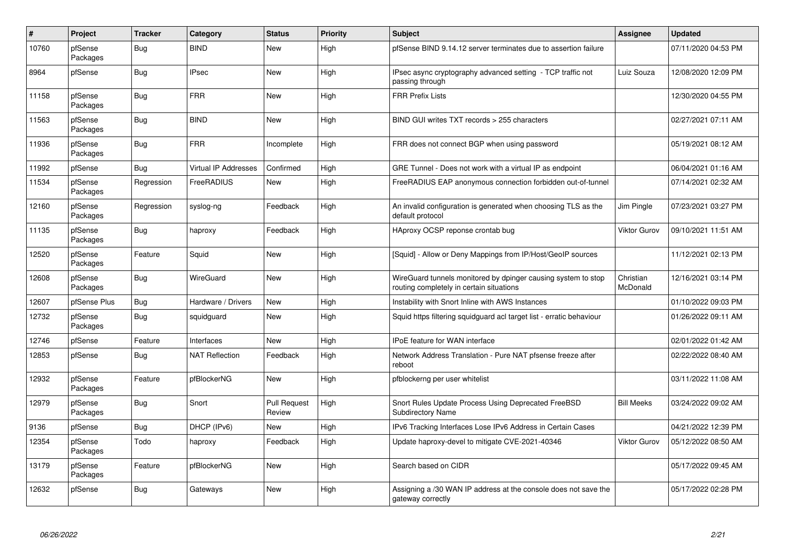| $\vert$ # | Project             | <b>Tracker</b> | Category                    | <b>Status</b>                 | <b>Priority</b> | <b>Subject</b>                                                                                            | Assignee                     | <b>Updated</b>      |
|-----------|---------------------|----------------|-----------------------------|-------------------------------|-----------------|-----------------------------------------------------------------------------------------------------------|------------------------------|---------------------|
| 10760     | pfSense<br>Packages | <b>Bug</b>     | <b>BIND</b>                 | <b>New</b>                    | High            | pfSense BIND 9.14.12 server terminates due to assertion failure                                           |                              | 07/11/2020 04:53 PM |
| 8964      | pfSense             | Bug            | <b>IPsec</b>                | New                           | High            | IPsec async cryptography advanced setting - TCP traffic not<br>passing through                            | Luiz Souza                   | 12/08/2020 12:09 PM |
| 11158     | pfSense<br>Packages | <b>Bug</b>     | <b>FRR</b>                  | New                           | High            | <b>FRR Prefix Lists</b>                                                                                   |                              | 12/30/2020 04:55 PM |
| 11563     | pfSense<br>Packages | Bug            | <b>BIND</b>                 | <b>New</b>                    | High            | BIND GUI writes TXT records > 255 characters                                                              |                              | 02/27/2021 07:11 AM |
| 11936     | pfSense<br>Packages | <b>Bug</b>     | <b>FRR</b>                  | Incomplete                    | High            | FRR does not connect BGP when using password                                                              |                              | 05/19/2021 08:12 AM |
| 11992     | pfSense             | Bug            | <b>Virtual IP Addresses</b> | Confirmed                     | High            | GRE Tunnel - Does not work with a virtual IP as endpoint                                                  |                              | 06/04/2021 01:16 AM |
| 11534     | pfSense<br>Packages | Regression     | FreeRADIUS                  | New                           | High            | FreeRADIUS EAP anonymous connection forbidden out-of-tunnel                                               |                              | 07/14/2021 02:32 AM |
| 12160     | pfSense<br>Packages | Regression     | syslog-ng                   | Feedback                      | High            | An invalid configuration is generated when choosing TLS as the<br>default protocol                        | Jim Pingle                   | 07/23/2021 03:27 PM |
| 11135     | pfSense<br>Packages | Bug            | haproxy                     | Feedback                      | High            | HAproxy OCSP reponse crontab bug                                                                          | Viktor Gurov                 | 09/10/2021 11:51 AM |
| 12520     | pfSense<br>Packages | Feature        | Squid                       | <b>New</b>                    | High            | [Squid] - Allow or Deny Mappings from IP/Host/GeoIP sources                                               |                              | 11/12/2021 02:13 PM |
| 12608     | pfSense<br>Packages | Bug            | WireGuard                   | <b>New</b>                    | High            | WireGuard tunnels monitored by dpinger causing system to stop<br>routing completely in certain situations | Christian<br><b>McDonald</b> | 12/16/2021 03:14 PM |
| 12607     | pfSense Plus        | Bug            | Hardware / Drivers          | <b>New</b>                    | High            | Instability with Snort Inline with AWS Instances                                                          |                              | 01/10/2022 09:03 PM |
| 12732     | pfSense<br>Packages | <b>Bug</b>     | squidguard                  | <b>New</b>                    | High            | Squid https filtering squidguard acl target list - erratic behaviour                                      |                              | 01/26/2022 09:11 AM |
| 12746     | pfSense             | Feature        | Interfaces                  | <b>New</b>                    | High            | <b>IPoE</b> feature for WAN interface                                                                     |                              | 02/01/2022 01:42 AM |
| 12853     | pfSense             | Bug            | <b>NAT Reflection</b>       | Feedback                      | High            | Network Address Translation - Pure NAT pfsense freeze after<br>reboot                                     |                              | 02/22/2022 08:40 AM |
| 12932     | pfSense<br>Packages | Feature        | pfBlockerNG                 | <b>New</b>                    | High            | pfblockerng per user whitelist                                                                            |                              | 03/11/2022 11:08 AM |
| 12979     | pfSense<br>Packages | <b>Bug</b>     | Snort                       | <b>Pull Request</b><br>Review | High            | Snort Rules Update Process Using Deprecated FreeBSD<br><b>Subdirectory Name</b>                           | <b>Bill Meeks</b>            | 03/24/2022 09:02 AM |
| 9136      | pfSense             | Bug            | DHCP (IPv6)                 | <b>New</b>                    | High            | IPv6 Tracking Interfaces Lose IPv6 Address in Certain Cases                                               |                              | 04/21/2022 12:39 PM |
| 12354     | pfSense<br>Packages | Todo           | haproxy                     | Feedback                      | High            | Update haproxy-devel to mitigate CVE-2021-40346                                                           | <b>Viktor Gurov</b>          | 05/12/2022 08:50 AM |
| 13179     | pfSense<br>Packages | Feature        | pfBlockerNG                 | New                           | High            | Search based on CIDR                                                                                      |                              | 05/17/2022 09:45 AM |
| 12632     | pfSense             | <b>Bug</b>     | Gateways                    | <b>New</b>                    | High            | Assigning a /30 WAN IP address at the console does not save the<br>gateway correctly                      |                              | 05/17/2022 02:28 PM |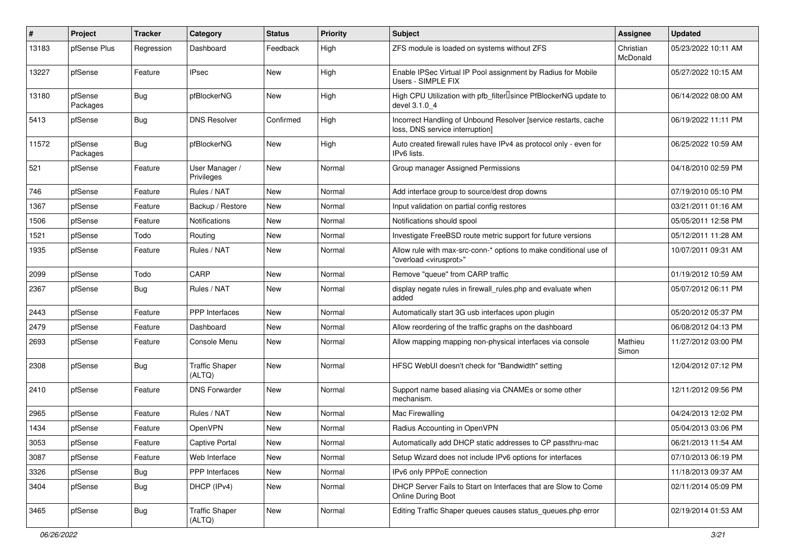| #     | Project             | <b>Tracker</b> | Category                        | <b>Status</b> | <b>Priority</b> | <b>Subject</b>                                                                                          | <b>Assignee</b>       | <b>Updated</b>      |
|-------|---------------------|----------------|---------------------------------|---------------|-----------------|---------------------------------------------------------------------------------------------------------|-----------------------|---------------------|
| 13183 | pfSense Plus        | Regression     | Dashboard                       | Feedback      | High            | ZFS module is loaded on systems without ZFS                                                             | Christian<br>McDonald | 05/23/2022 10:11 AM |
| 13227 | pfSense             | Feature        | <b>IPsec</b>                    | New           | High            | Enable IPSec Virtual IP Pool assignment by Radius for Mobile<br>Users - SIMPLE FIX                      |                       | 05/27/2022 10:15 AM |
| 13180 | pfSense<br>Packages | <b>Bug</b>     | pfBlockerNG                     | <b>New</b>    | High            | High CPU Utilization with pfb_filter <sup>[]</sup> since PfBlockerNG update to<br>devel 3.1.0 4         |                       | 06/14/2022 08:00 AM |
| 5413  | pfSense             | <b>Bug</b>     | <b>DNS Resolver</b>             | Confirmed     | High            | Incorrect Handling of Unbound Resolver [service restarts, cache<br>loss, DNS service interruption]      |                       | 06/19/2022 11:11 PM |
| 11572 | pfSense<br>Packages | <b>Bug</b>     | pfBlockerNG                     | New           | High            | Auto created firewall rules have IPv4 as protocol only - even for<br>IPv6 lists.                        |                       | 06/25/2022 10:59 AM |
| 521   | pfSense             | Feature        | User Manager /<br>Privileges    | New           | Normal          | Group manager Assigned Permissions                                                                      |                       | 04/18/2010 02:59 PM |
| 746   | pfSense             | Feature        | Rules / NAT                     | <b>New</b>    | Normal          | Add interface group to source/dest drop downs                                                           |                       | 07/19/2010 05:10 PM |
| 1367  | pfSense             | Feature        | Backup / Restore                | New           | Normal          | Input validation on partial config restores                                                             |                       | 03/21/2011 01:16 AM |
| 1506  | pfSense             | Feature        | Notifications                   | New           | Normal          | Notifications should spool                                                                              |                       | 05/05/2011 12:58 PM |
| 1521  | pfSense             | Todo           | Routing                         | New           | Normal          | Investigate FreeBSD route metric support for future versions                                            |                       | 05/12/2011 11:28 AM |
| 1935  | pfSense             | Feature        | Rules / NAT                     | New           | Normal          | Allow rule with max-src-conn-* options to make conditional use of<br>"overload <virusprot>"</virusprot> |                       | 10/07/2011 09:31 AM |
| 2099  | pfSense             | Todo           | CARP                            | New           | Normal          | Remove "queue" from CARP traffic                                                                        |                       | 01/19/2012 10:59 AM |
| 2367  | pfSense             | <b>Bug</b>     | Rules / NAT                     | New           | Normal          | display negate rules in firewall_rules.php and evaluate when<br>added                                   |                       | 05/07/2012 06:11 PM |
| 2443  | pfSense             | Feature        | <b>PPP</b> Interfaces           | New           | Normal          | Automatically start 3G usb interfaces upon plugin                                                       |                       | 05/20/2012 05:37 PM |
| 2479  | pfSense             | Feature        | Dashboard                       | New           | Normal          | Allow reordering of the traffic graphs on the dashboard                                                 |                       | 06/08/2012 04:13 PM |
| 2693  | pfSense             | Feature        | Console Menu                    | New           | Normal          | Allow mapping mapping non-physical interfaces via console                                               | Mathieu<br>Simon      | 11/27/2012 03:00 PM |
| 2308  | pfSense             | <b>Bug</b>     | <b>Traffic Shaper</b><br>(ALTQ) | New           | Normal          | HFSC WebUI doesn't check for "Bandwidth" setting                                                        |                       | 12/04/2012 07:12 PM |
| 2410  | pfSense             | Feature        | <b>DNS Forwarder</b>            | New           | Normal          | Support name based aliasing via CNAMEs or some other<br>mechanism.                                      |                       | 12/11/2012 09:56 PM |
| 2965  | pfSense             | Feature        | Rules / NAT                     | New           | Normal          | Mac Firewalling                                                                                         |                       | 04/24/2013 12:02 PM |
| 1434  | pfSense             | Feature        | OpenVPN                         | New           | Normal          | Radius Accounting in OpenVPN                                                                            |                       | 05/04/2013 03:06 PM |
| 3053  | pfSense             | Feature        | Captive Portal                  | New           | Normal          | Automatically add DHCP static addresses to CP passthru-mac                                              |                       | 06/21/2013 11:54 AM |
| 3087  | pfSense             | Feature        | Web Interface                   | New           | Normal          | Setup Wizard does not include IPv6 options for interfaces                                               |                       | 07/10/2013 06:19 PM |
| 3326  | pfSense             | <b>Bug</b>     | PPP Interfaces                  | New           | Normal          | IPv6 only PPPoE connection                                                                              |                       | 11/18/2013 09:37 AM |
| 3404  | pfSense             | Bug            | DHCP (IPv4)                     | New           | Normal          | DHCP Server Fails to Start on Interfaces that are Slow to Come<br>Online During Boot                    |                       | 02/11/2014 05:09 PM |
| 3465  | pfSense             | <b>Bug</b>     | <b>Traffic Shaper</b><br>(ALTQ) | New           | Normal          | Editing Traffic Shaper queues causes status_queues.php error                                            |                       | 02/19/2014 01:53 AM |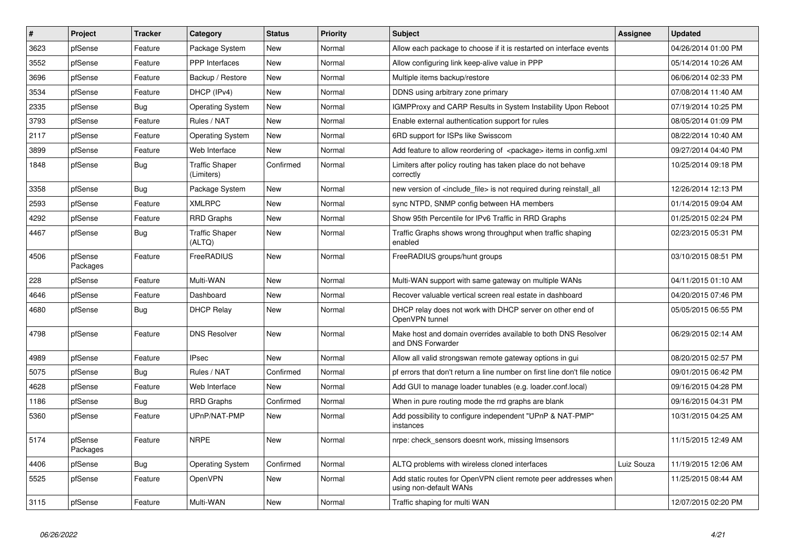| $\sharp$ | Project             | <b>Tracker</b> | Category                            | <b>Status</b> | <b>Priority</b> | <b>Subject</b>                                                                            | <b>Assignee</b> | <b>Updated</b>      |
|----------|---------------------|----------------|-------------------------------------|---------------|-----------------|-------------------------------------------------------------------------------------------|-----------------|---------------------|
| 3623     | pfSense             | Feature        | Package System                      | <b>New</b>    | Normal          | Allow each package to choose if it is restarted on interface events                       |                 | 04/26/2014 01:00 PM |
| 3552     | pfSense             | Feature        | <b>PPP</b> Interfaces               | <b>New</b>    | Normal          | Allow configuring link keep-alive value in PPP                                            |                 | 05/14/2014 10:26 AM |
| 3696     | pfSense             | Feature        | Backup / Restore                    | <b>New</b>    | Normal          | Multiple items backup/restore                                                             |                 | 06/06/2014 02:33 PM |
| 3534     | pfSense             | Feature        | DHCP (IPv4)                         | New           | Normal          | DDNS using arbitrary zone primary                                                         |                 | 07/08/2014 11:40 AM |
| 2335     | pfSense             | <b>Bug</b>     | <b>Operating System</b>             | <b>New</b>    | Normal          | <b>IGMPProxy and CARP Results in System Instability Upon Reboot</b>                       |                 | 07/19/2014 10:25 PM |
| 3793     | pfSense             | Feature        | Rules / NAT                         | <b>New</b>    | Normal          | Enable external authentication support for rules                                          |                 | 08/05/2014 01:09 PM |
| 2117     | pfSense             | Feature        | <b>Operating System</b>             | <b>New</b>    | Normal          | 6RD support for ISPs like Swisscom                                                        |                 | 08/22/2014 10:40 AM |
| 3899     | pfSense             | Feature        | Web Interface                       | <b>New</b>    | Normal          | Add feature to allow reordering of <package> items in config.xml</package>                |                 | 09/27/2014 04:40 PM |
| 1848     | pfSense             | <b>Bug</b>     | <b>Traffic Shaper</b><br>(Limiters) | Confirmed     | Normal          | Limiters after policy routing has taken place do not behave<br>correctly                  |                 | 10/25/2014 09:18 PM |
| 3358     | pfSense             | <b>Bug</b>     | Package System                      | <b>New</b>    | Normal          | new version of <include file=""> is not required during reinstall all</include>           |                 | 12/26/2014 12:13 PM |
| 2593     | pfSense             | Feature        | <b>XMLRPC</b>                       | <b>New</b>    | Normal          | sync NTPD, SNMP config between HA members                                                 |                 | 01/14/2015 09:04 AM |
| 4292     | pfSense             | Feature        | <b>RRD Graphs</b>                   | <b>New</b>    | Normal          | Show 95th Percentile for IPv6 Traffic in RRD Graphs                                       |                 | 01/25/2015 02:24 PM |
| 4467     | pfSense             | Bug            | <b>Traffic Shaper</b><br>(ALTQ)     | New           | Normal          | Traffic Graphs shows wrong throughput when traffic shaping<br>enabled                     |                 | 02/23/2015 05:31 PM |
| 4506     | pfSense<br>Packages | Feature        | FreeRADIUS                          | New           | Normal          | FreeRADIUS groups/hunt groups                                                             |                 | 03/10/2015 08:51 PM |
| 228      | pfSense             | Feature        | Multi-WAN                           | New           | Normal          | Multi-WAN support with same gateway on multiple WANs                                      |                 | 04/11/2015 01:10 AM |
| 4646     | pfSense             | Feature        | Dashboard                           | <b>New</b>    | Normal          | Recover valuable vertical screen real estate in dashboard                                 |                 | 04/20/2015 07:46 PM |
| 4680     | pfSense             | <b>Bug</b>     | <b>DHCP Relay</b>                   | New           | Normal          | DHCP relay does not work with DHCP server on other end of<br>OpenVPN tunnel               |                 | 05/05/2015 06:55 PM |
| 4798     | pfSense             | Feature        | <b>DNS Resolver</b>                 | <b>New</b>    | Normal          | Make host and domain overrides available to both DNS Resolver<br>and DNS Forwarder        |                 | 06/29/2015 02:14 AM |
| 4989     | pfSense             | Feature        | <b>IPsec</b>                        | <b>New</b>    | Normal          | Allow all valid strongswan remote gateway options in gui                                  |                 | 08/20/2015 02:57 PM |
| 5075     | pfSense             | <b>Bug</b>     | Rules / NAT                         | Confirmed     | Normal          | pf errors that don't return a line number on first line don't file notice                 |                 | 09/01/2015 06:42 PM |
| 4628     | pfSense             | Feature        | Web Interface                       | New           | Normal          | Add GUI to manage loader tunables (e.g. loader.conf.local)                                |                 | 09/16/2015 04:28 PM |
| 1186     | pfSense             | Bug            | <b>RRD Graphs</b>                   | Confirmed     | Normal          | When in pure routing mode the rrd graphs are blank                                        |                 | 09/16/2015 04:31 PM |
| 5360     | pfSense             | Feature        | UPnP/NAT-PMP                        | New           | Normal          | Add possibility to configure independent "UPnP & NAT-PMP"<br>instances                    |                 | 10/31/2015 04:25 AM |
| 5174     | pfSense<br>Packages | Feature        | <b>NRPE</b>                         | New           | Normal          | nrpe: check sensors doesnt work, missing Imsensors                                        |                 | 11/15/2015 12:49 AM |
| 4406     | pfSense             | <b>Bug</b>     | <b>Operating System</b>             | Confirmed     | Normal          | ALTQ problems with wireless cloned interfaces                                             | Luiz Souza      | 11/19/2015 12:06 AM |
| 5525     | pfSense             | Feature        | OpenVPN                             | New           | Normal          | Add static routes for OpenVPN client remote peer addresses when<br>using non-default WANs |                 | 11/25/2015 08:44 AM |
| 3115     | pfSense             | Feature        | Multi-WAN                           | New           | Normal          | Traffic shaping for multi WAN                                                             |                 | 12/07/2015 02:20 PM |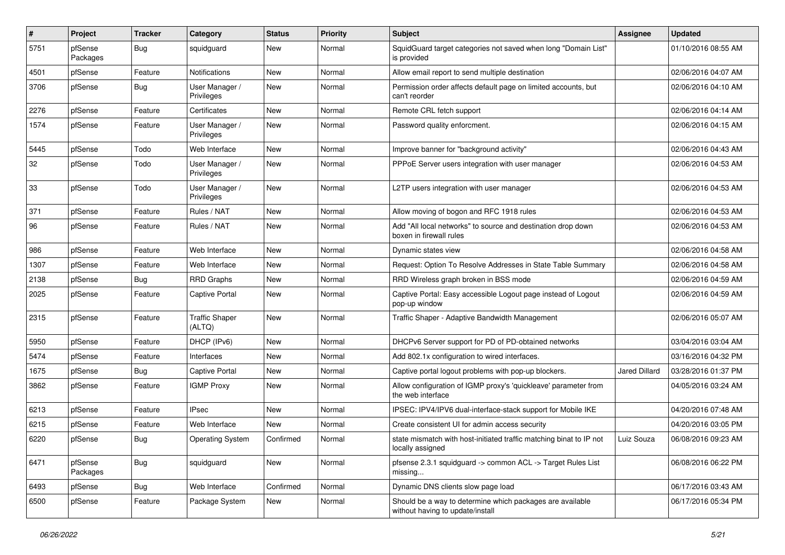| $\sharp$ | Project             | <b>Tracker</b> | Category                        | <b>Status</b> | Priority | Subject                                                                                       | <b>Assignee</b> | <b>Updated</b>      |
|----------|---------------------|----------------|---------------------------------|---------------|----------|-----------------------------------------------------------------------------------------------|-----------------|---------------------|
| 5751     | pfSense<br>Packages | <b>Bug</b>     | squidguard                      | New           | Normal   | SquidGuard target categories not saved when long "Domain List"<br>is provided                 |                 | 01/10/2016 08:55 AM |
| 4501     | pfSense             | Feature        | Notifications                   | New           | Normal   | Allow email report to send multiple destination                                               |                 | 02/06/2016 04:07 AM |
| 3706     | pfSense             | <b>Bug</b>     | User Manager /<br>Privileges    | New           | Normal   | Permission order affects default page on limited accounts, but<br>can't reorder               |                 | 02/06/2016 04:10 AM |
| 2276     | pfSense             | Feature        | Certificates                    | <b>New</b>    | Normal   | Remote CRL fetch support                                                                      |                 | 02/06/2016 04:14 AM |
| 1574     | pfSense             | Feature        | User Manager /<br>Privileges    | New           | Normal   | Password quality enforcment.                                                                  |                 | 02/06/2016 04:15 AM |
| 5445     | pfSense             | Todo           | Web Interface                   | New           | Normal   | Improve banner for "background activity"                                                      |                 | 02/06/2016 04:43 AM |
| 32       | pfSense             | Todo           | User Manager /<br>Privileges    | New           | Normal   | PPPoE Server users integration with user manager                                              |                 | 02/06/2016 04:53 AM |
| 33       | pfSense             | Todo           | User Manager /<br>Privileges    | New           | Normal   | L2TP users integration with user manager                                                      |                 | 02/06/2016 04:53 AM |
| 371      | pfSense             | Feature        | Rules / NAT                     | New           | Normal   | Allow moving of bogon and RFC 1918 rules                                                      |                 | 02/06/2016 04:53 AM |
| 96       | pfSense             | Feature        | Rules / NAT                     | New           | Normal   | Add "All local networks" to source and destination drop down<br>boxen in firewall rules       |                 | 02/06/2016 04:53 AM |
| 986      | pfSense             | Feature        | Web Interface                   | <b>New</b>    | Normal   | Dynamic states view                                                                           |                 | 02/06/2016 04:58 AM |
| 1307     | pfSense             | Feature        | Web Interface                   | New           | Normal   | Request: Option To Resolve Addresses in State Table Summary                                   |                 | 02/06/2016 04:58 AM |
| 2138     | pfSense             | Bug            | <b>RRD Graphs</b>               | New           | Normal   | RRD Wireless graph broken in BSS mode                                                         |                 | 02/06/2016 04:59 AM |
| 2025     | pfSense             | Feature        | <b>Captive Portal</b>           | New           | Normal   | Captive Portal: Easy accessible Logout page instead of Logout<br>pop-up window                |                 | 02/06/2016 04:59 AM |
| 2315     | pfSense             | Feature        | <b>Traffic Shaper</b><br>(ALTQ) | New           | Normal   | Traffic Shaper - Adaptive Bandwidth Management                                                |                 | 02/06/2016 05:07 AM |
| 5950     | pfSense             | Feature        | DHCP (IPv6)                     | New           | Normal   | DHCPv6 Server support for PD of PD-obtained networks                                          |                 | 03/04/2016 03:04 AM |
| 5474     | pfSense             | Feature        | Interfaces                      | New           | Normal   | Add 802.1x configuration to wired interfaces.                                                 |                 | 03/16/2016 04:32 PM |
| 1675     | pfSense             | <b>Bug</b>     | <b>Captive Portal</b>           | New           | Normal   | Captive portal logout problems with pop-up blockers.                                          | Jared Dillard   | 03/28/2016 01:37 PM |
| 3862     | pfSense             | Feature        | <b>IGMP Proxy</b>               | New           | Normal   | Allow configuration of IGMP proxy's 'quickleave' parameter from<br>the web interface          |                 | 04/05/2016 03:24 AM |
| 6213     | pfSense             | Feature        | <b>IPsec</b>                    | <b>New</b>    | Normal   | IPSEC: IPV4/IPV6 dual-interface-stack support for Mobile IKE                                  |                 | 04/20/2016 07:48 AM |
| 6215     | pfSense             | Feature        | Web Interface                   | New           | Normal   | Create consistent UI for admin access security                                                |                 | 04/20/2016 03:05 PM |
| 6220     | pfSense             | <b>Bug</b>     | <b>Operating System</b>         | Confirmed     | Normal   | state mismatch with host-initiated traffic matching binat to IP not<br>locally assigned       | Luiz Souza      | 06/08/2016 09:23 AM |
| 6471     | pfSense<br>Packages | <b>Bug</b>     | squidguard                      | New           | Normal   | pfsense 2.3.1 squidguard -> common ACL -> Target Rules List<br>missing                        |                 | 06/08/2016 06:22 PM |
| 6493     | pfSense             | <b>Bug</b>     | Web Interface                   | Confirmed     | Normal   | Dynamic DNS clients slow page load                                                            |                 | 06/17/2016 03:43 AM |
| 6500     | pfSense             | Feature        | Package System                  | New           | Normal   | Should be a way to determine which packages are available<br>without having to update/install |                 | 06/17/2016 05:34 PM |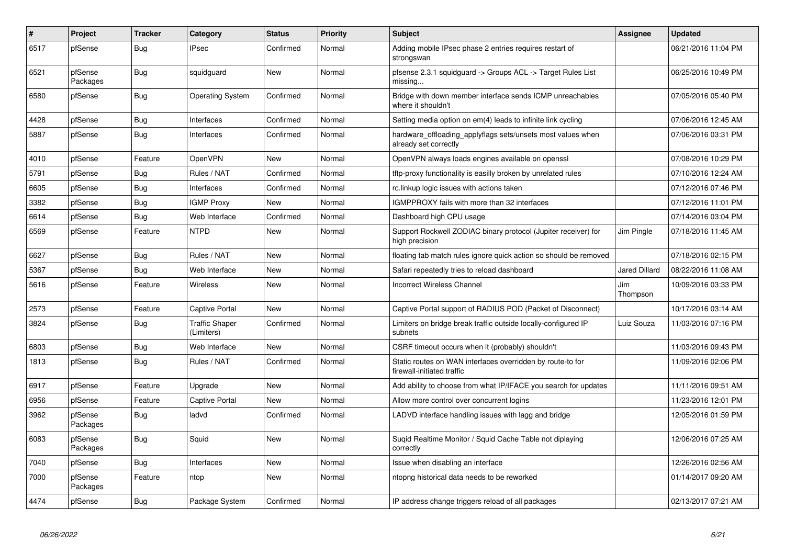| $\pmb{\#}$ | Project             | <b>Tracker</b> | Category                            | <b>Status</b> | <b>Priority</b> | <b>Subject</b>                                                                           | Assignee        | <b>Updated</b>      |
|------------|---------------------|----------------|-------------------------------------|---------------|-----------------|------------------------------------------------------------------------------------------|-----------------|---------------------|
| 6517       | pfSense             | Bug            | <b>IPsec</b>                        | Confirmed     | Normal          | Adding mobile IPsec phase 2 entries requires restart of<br>strongswan                    |                 | 06/21/2016 11:04 PM |
| 6521       | pfSense<br>Packages | <b>Bug</b>     | squidguard                          | New           | Normal          | pfsense 2.3.1 squidguard -> Groups ACL -> Target Rules List<br>missing                   |                 | 06/25/2016 10:49 PM |
| 6580       | pfSense             | Bug            | Operating System                    | Confirmed     | Normal          | Bridge with down member interface sends ICMP unreachables<br>where it shouldn't          |                 | 07/05/2016 05:40 PM |
| 4428       | pfSense             | <b>Bug</b>     | Interfaces                          | Confirmed     | Normal          | Setting media option on em(4) leads to infinite link cycling                             |                 | 07/06/2016 12:45 AM |
| 5887       | pfSense             | <b>Bug</b>     | Interfaces                          | Confirmed     | Normal          | hardware_offloading_applyflags sets/unsets most values when<br>already set correctly     |                 | 07/06/2016 03:31 PM |
| 4010       | pfSense             | Feature        | OpenVPN                             | New           | Normal          | OpenVPN always loads engines available on openssl                                        |                 | 07/08/2016 10:29 PM |
| 5791       | pfSense             | <b>Bug</b>     | Rules / NAT                         | Confirmed     | Normal          | tftp-proxy functionality is easilly broken by unrelated rules                            |                 | 07/10/2016 12:24 AM |
| 6605       | pfSense             | <b>Bug</b>     | Interfaces                          | Confirmed     | Normal          | rc.linkup logic issues with actions taken                                                |                 | 07/12/2016 07:46 PM |
| 3382       | pfSense             | <b>Bug</b>     | <b>IGMP Proxy</b>                   | New           | Normal          | IGMPPROXY fails with more than 32 interfaces                                             |                 | 07/12/2016 11:01 PM |
| 6614       | pfSense             | <b>Bug</b>     | Web Interface                       | Confirmed     | Normal          | Dashboard high CPU usage                                                                 |                 | 07/14/2016 03:04 PM |
| 6569       | pfSense             | Feature        | <b>NTPD</b>                         | New           | Normal          | Support Rockwell ZODIAC binary protocol (Jupiter receiver) for<br>high precision         | Jim Pingle      | 07/18/2016 11:45 AM |
| 6627       | pfSense             | <b>Bug</b>     | Rules / NAT                         | New           | Normal          | floating tab match rules ignore quick action so should be removed                        |                 | 07/18/2016 02:15 PM |
| 5367       | pfSense             | Bug            | Web Interface                       | New           | Normal          | Safari repeatedly tries to reload dashboard                                              | Jared Dillard   | 08/22/2016 11:08 AM |
| 5616       | pfSense             | Feature        | <b>Wireless</b>                     | New           | Normal          | <b>Incorrect Wireless Channel</b>                                                        | Jim<br>Thompson | 10/09/2016 03:33 PM |
| 2573       | pfSense             | Feature        | <b>Captive Portal</b>               | New           | Normal          | Captive Portal support of RADIUS POD (Packet of Disconnect)                              |                 | 10/17/2016 03:14 AM |
| 3824       | pfSense             | Bug            | <b>Traffic Shaper</b><br>(Limiters) | Confirmed     | Normal          | Limiters on bridge break traffic outside locally-configured IP<br>subnets                | Luiz Souza      | 11/03/2016 07:16 PM |
| 6803       | pfSense             | <b>Bug</b>     | Web Interface                       | <b>New</b>    | Normal          | CSRF timeout occurs when it (probably) shouldn't                                         |                 | 11/03/2016 09:43 PM |
| 1813       | pfSense             | Bug            | Rules / NAT                         | Confirmed     | Normal          | Static routes on WAN interfaces overridden by route-to for<br>firewall-initiated traffic |                 | 11/09/2016 02:06 PM |
| 6917       | pfSense             | Feature        | Upgrade                             | New           | Normal          | Add ability to choose from what IP/IFACE you search for updates                          |                 | 11/11/2016 09:51 AM |
| 6956       | pfSense             | Feature        | <b>Captive Portal</b>               | New           | Normal          | Allow more control over concurrent logins                                                |                 | 11/23/2016 12:01 PM |
| 3962       | pfSense<br>Packages | <b>Bug</b>     | ladvd                               | Confirmed     | Normal          | LADVD interface handling issues with lagg and bridge                                     |                 | 12/05/2016 01:59 PM |
| 6083       | pfSense<br>Packages | <b>Bug</b>     | Squid                               | New           | Normal          | Suqid Realtime Monitor / Squid Cache Table not diplaying<br>correctly                    |                 | 12/06/2016 07:25 AM |
| 7040       | pfSense             | <b>Bug</b>     | Interfaces                          | New           | Normal          | Issue when disabling an interface                                                        |                 | 12/26/2016 02:56 AM |
| 7000       | pfSense<br>Packages | Feature        | ntop                                | New           | Normal          | ntopng historical data needs to be reworked                                              |                 | 01/14/2017 09:20 AM |
| 4474       | pfSense             | Bug            | Package System                      | Confirmed     | Normal          | IP address change triggers reload of all packages                                        |                 | 02/13/2017 07:21 AM |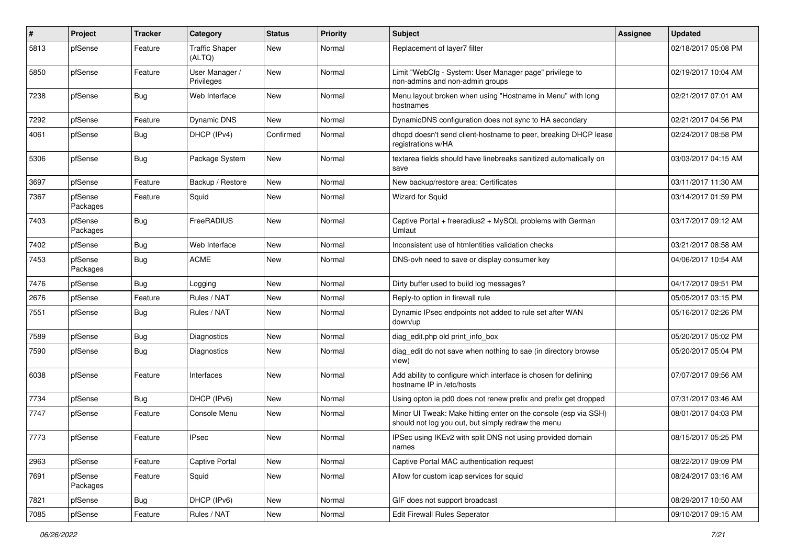| $\sharp$ | Project             | <b>Tracker</b> | Category                        | <b>Status</b> | <b>Priority</b> | Subject                                                                                                               | <b>Assignee</b> | <b>Updated</b>      |
|----------|---------------------|----------------|---------------------------------|---------------|-----------------|-----------------------------------------------------------------------------------------------------------------------|-----------------|---------------------|
| 5813     | pfSense             | Feature        | <b>Traffic Shaper</b><br>(ALTQ) | New           | Normal          | Replacement of layer7 filter                                                                                          |                 | 02/18/2017 05:08 PM |
| 5850     | pfSense             | Feature        | User Manager /<br>Privileges    | New           | Normal          | Limit "WebCfg - System: User Manager page" privilege to<br>non-admins and non-admin groups                            |                 | 02/19/2017 10:04 AM |
| 7238     | pfSense             | Bug            | Web Interface                   | New           | Normal          | Menu layout broken when using "Hostname in Menu" with long<br>hostnames                                               |                 | 02/21/2017 07:01 AM |
| 7292     | pfSense             | Feature        | Dynamic DNS                     | New           | Normal          | DynamicDNS configuration does not sync to HA secondary                                                                |                 | 02/21/2017 04:56 PM |
| 4061     | pfSense             | <b>Bug</b>     | DHCP (IPv4)                     | Confirmed     | Normal          | dhcpd doesn't send client-hostname to peer, breaking DHCP lease<br>registrations w/HA                                 |                 | 02/24/2017 08:58 PM |
| 5306     | pfSense             | <b>Bug</b>     | Package System                  | New           | Normal          | textarea fields should have linebreaks sanitized automatically on<br>save                                             |                 | 03/03/2017 04:15 AM |
| 3697     | pfSense             | Feature        | Backup / Restore                | New           | Normal          | New backup/restore area: Certificates                                                                                 |                 | 03/11/2017 11:30 AM |
| 7367     | pfSense<br>Packages | Feature        | Squid                           | New           | Normal          | <b>Wizard for Squid</b>                                                                                               |                 | 03/14/2017 01:59 PM |
| 7403     | pfSense<br>Packages | <b>Bug</b>     | FreeRADIUS                      | New           | Normal          | Captive Portal + freeradius2 + MySQL problems with German<br>Umlaut                                                   |                 | 03/17/2017 09:12 AM |
| 7402     | pfSense             | <b>Bug</b>     | Web Interface                   | New           | Normal          | Inconsistent use of htmlentities validation checks                                                                    |                 | 03/21/2017 08:58 AM |
| 7453     | pfSense<br>Packages | <b>Bug</b>     | <b>ACME</b>                     | New           | Normal          | DNS-ovh need to save or display consumer key                                                                          |                 | 04/06/2017 10:54 AM |
| 7476     | pfSense             | <b>Bug</b>     | Logging                         | New           | Normal          | Dirty buffer used to build log messages?                                                                              |                 | 04/17/2017 09:51 PM |
| 2676     | pfSense             | Feature        | Rules / NAT                     | <b>New</b>    | Normal          | Reply-to option in firewall rule                                                                                      |                 | 05/05/2017 03:15 PM |
| 7551     | pfSense             | <b>Bug</b>     | Rules / NAT                     | New           | Normal          | Dynamic IPsec endpoints not added to rule set after WAN<br>down/up                                                    |                 | 05/16/2017 02:26 PM |
| 7589     | pfSense             | <b>Bug</b>     | Diagnostics                     | New           | Normal          | diag edit.php old print info box                                                                                      |                 | 05/20/2017 05:02 PM |
| 7590     | pfSense             | <b>Bug</b>     | Diagnostics                     | New           | Normal          | diag edit do not save when nothing to sae (in directory browse<br>view)                                               |                 | 05/20/2017 05:04 PM |
| 6038     | pfSense             | Feature        | Interfaces                      | New           | Normal          | Add ability to configure which interface is chosen for defining<br>hostname IP in /etc/hosts                          |                 | 07/07/2017 09:56 AM |
| 7734     | pfSense             | <b>Bug</b>     | DHCP (IPv6)                     | <b>New</b>    | Normal          | Using opton ia pd0 does not renew prefix and prefix get dropped                                                       |                 | 07/31/2017 03:46 AM |
| 7747     | pfSense             | Feature        | Console Menu                    | New           | Normal          | Minor UI Tweak: Make hitting enter on the console (esp via SSH)<br>should not log you out, but simply redraw the menu |                 | 08/01/2017 04:03 PM |
| 7773     | pfSense             | Feature        | IPsec                           | New           | Normal          | IPSec using IKEv2 with split DNS not using provided domain<br>names                                                   |                 | 08/15/2017 05:25 PM |
| 2963     | pfSense             | Feature        | Captive Portal                  | New           | Normal          | Captive Portal MAC authentication request                                                                             |                 | 08/22/2017 09:09 PM |
| 7691     | pfSense<br>Packages | Feature        | Squid                           | New           | Normal          | Allow for custom icap services for squid                                                                              |                 | 08/24/2017 03:16 AM |
| 7821     | pfSense             | <b>Bug</b>     | DHCP (IPv6)                     | New           | Normal          | GIF does not support broadcast                                                                                        |                 | 08/29/2017 10:50 AM |
| 7085     | pfSense             | Feature        | Rules / NAT                     | New           | Normal          | <b>Edit Firewall Rules Seperator</b>                                                                                  |                 | 09/10/2017 09:15 AM |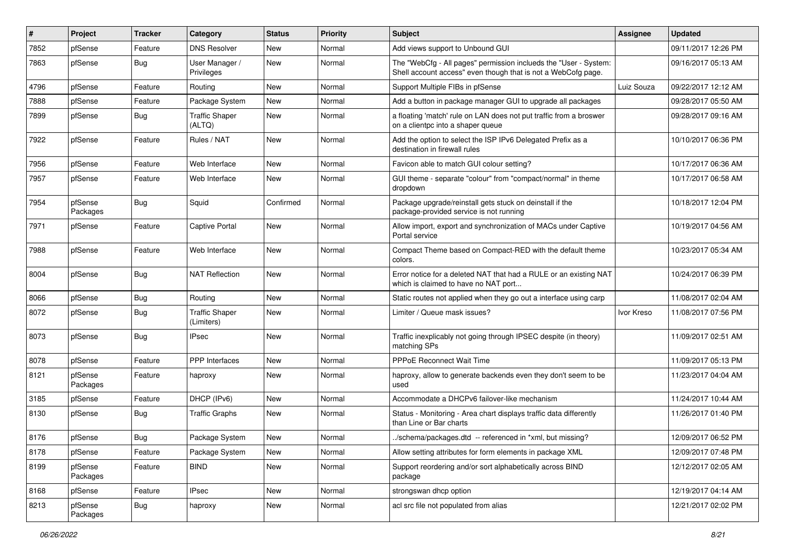| $\sharp$ | Project             | <b>Tracker</b> | Category                            | <b>Status</b> | Priority | <b>Subject</b>                                                                                                                    | <b>Assignee</b> | <b>Updated</b>      |
|----------|---------------------|----------------|-------------------------------------|---------------|----------|-----------------------------------------------------------------------------------------------------------------------------------|-----------------|---------------------|
| 7852     | pfSense             | Feature        | <b>DNS Resolver</b>                 | New           | Normal   | Add views support to Unbound GUI                                                                                                  |                 | 09/11/2017 12:26 PM |
| 7863     | pfSense             | <b>Bug</b>     | User Manager /<br>Privileges        | New           | Normal   | The "WebCfg - All pages" permission inclueds the "User - System:<br>Shell account access" even though that is not a WebCofg page. |                 | 09/16/2017 05:13 AM |
| 4796     | pfSense             | Feature        | Routing                             | New           | Normal   | Support Multiple FIBs in pfSense                                                                                                  | Luiz Souza      | 09/22/2017 12:12 AM |
| 7888     | pfSense             | Feature        | Package System                      | <b>New</b>    | Normal   | Add a button in package manager GUI to upgrade all packages                                                                       |                 | 09/28/2017 05:50 AM |
| 7899     | pfSense             | Bug            | <b>Traffic Shaper</b><br>(ALTQ)     | <b>New</b>    | Normal   | a floating 'match' rule on LAN does not put traffic from a broswer<br>on a clientpc into a shaper queue                           |                 | 09/28/2017 09:16 AM |
| 7922     | pfSense             | Feature        | Rules / NAT                         | <b>New</b>    | Normal   | Add the option to select the ISP IPv6 Delegated Prefix as a<br>destination in firewall rules                                      |                 | 10/10/2017 06:36 PM |
| 7956     | pfSense             | Feature        | Web Interface                       | <b>New</b>    | Normal   | Favicon able to match GUI colour setting?                                                                                         |                 | 10/17/2017 06:36 AM |
| 7957     | pfSense             | Feature        | Web Interface                       | <b>New</b>    | Normal   | GUI theme - separate "colour" from "compact/normal" in theme<br>dropdown                                                          |                 | 10/17/2017 06:58 AM |
| 7954     | pfSense<br>Packages | <b>Bug</b>     | Squid                               | Confirmed     | Normal   | Package upgrade/reinstall gets stuck on deinstall if the<br>package-provided service is not running                               |                 | 10/18/2017 12:04 PM |
| 7971     | pfSense             | Feature        | Captive Portal                      | New           | Normal   | Allow import, export and synchronization of MACs under Captive<br>Portal service                                                  |                 | 10/19/2017 04:56 AM |
| 7988     | pfSense             | Feature        | Web Interface                       | <b>New</b>    | Normal   | Compact Theme based on Compact-RED with the default theme<br>colors.                                                              |                 | 10/23/2017 05:34 AM |
| 8004     | pfSense             | <b>Bug</b>     | <b>NAT Reflection</b>               | <b>New</b>    | Normal   | Error notice for a deleted NAT that had a RULE or an existing NAT<br>which is claimed to have no NAT port                         |                 | 10/24/2017 06:39 PM |
| 8066     | pfSense             | <b>Bug</b>     | Routing                             | <b>New</b>    | Normal   | Static routes not applied when they go out a interface using carp                                                                 |                 | 11/08/2017 02:04 AM |
| 8072     | pfSense             | <b>Bug</b>     | <b>Traffic Shaper</b><br>(Limiters) | New           | Normal   | Limiter / Queue mask issues?                                                                                                      | Ivor Kreso      | 11/08/2017 07:56 PM |
| 8073     | pfSense             | <b>Bug</b>     | <b>IPsec</b>                        | <b>New</b>    | Normal   | Traffic inexplicably not going through IPSEC despite (in theory)<br>matching SPs                                                  |                 | 11/09/2017 02:51 AM |
| 8078     | pfSense             | Feature        | <b>PPP</b> Interfaces               | New           | Normal   | PPPoE Reconnect Wait Time                                                                                                         |                 | 11/09/2017 05:13 PM |
| 8121     | pfSense<br>Packages | Feature        | haproxy                             | <b>New</b>    | Normal   | haproxy, allow to generate backends even they don't seem to be<br>used                                                            |                 | 11/23/2017 04:04 AM |
| 3185     | pfSense             | Feature        | DHCP (IPv6)                         | <b>New</b>    | Normal   | Accommodate a DHCPv6 failover-like mechanism                                                                                      |                 | 11/24/2017 10:44 AM |
| 8130     | pfSense             | <b>Bug</b>     | <b>Traffic Graphs</b>               | <b>New</b>    | Normal   | Status - Monitoring - Area chart displays traffic data differently<br>than Line or Bar charts                                     |                 | 11/26/2017 01:40 PM |
| 8176     | pfSense             | <b>Bug</b>     | Package System                      | New           | Normal   | /schema/packages.dtd -- referenced in *xml, but missing?                                                                          |                 | 12/09/2017 06:52 PM |
| 8178     | pfSense             | Feature        | Package System                      | New           | Normal   | Allow setting attributes for form elements in package XML                                                                         |                 | 12/09/2017 07:48 PM |
| 8199     | pfSense<br>Packages | Feature        | <b>BIND</b>                         | New           | Normal   | Support reordering and/or sort alphabetically across BIND<br>package                                                              |                 | 12/12/2017 02:05 AM |
| 8168     | pfSense             | Feature        | <b>IPsec</b>                        | New           | Normal   | strongswan dhcp option                                                                                                            |                 | 12/19/2017 04:14 AM |
| 8213     | pfSense<br>Packages | <b>Bug</b>     | haproxy                             | New           | Normal   | acl src file not populated from alias                                                                                             |                 | 12/21/2017 02:02 PM |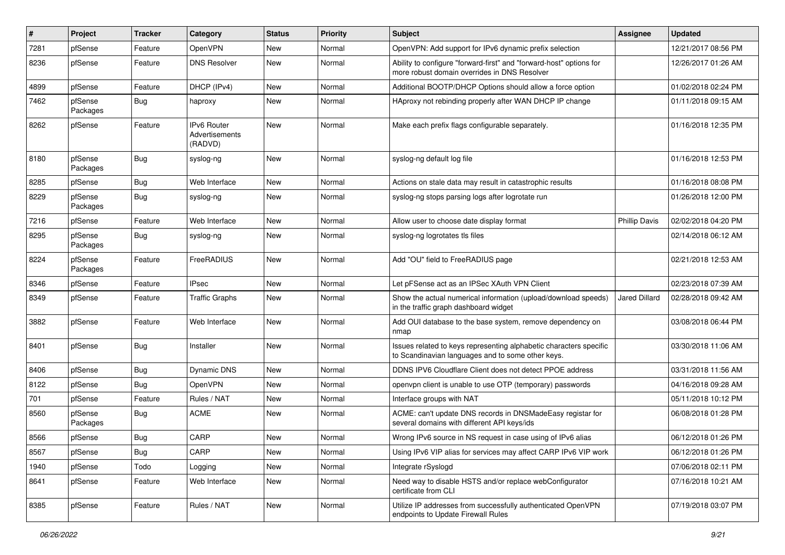| #    | Project             | <b>Tracker</b> | Category                                        | <b>Status</b> | Priority | <b>Subject</b>                                                                                                          | <b>Assignee</b>      | <b>Updated</b>      |
|------|---------------------|----------------|-------------------------------------------------|---------------|----------|-------------------------------------------------------------------------------------------------------------------------|----------------------|---------------------|
| 7281 | pfSense             | Feature        | OpenVPN                                         | New           | Normal   | OpenVPN: Add support for IPv6 dynamic prefix selection                                                                  |                      | 12/21/2017 08:56 PM |
| 8236 | pfSense             | Feature        | <b>DNS Resolver</b>                             | New           | Normal   | Ability to configure "forward-first" and "forward-host" options for<br>more robust domain overrides in DNS Resolver     |                      | 12/26/2017 01:26 AM |
| 4899 | pfSense             | Feature        | DHCP (IPv4)                                     | <b>New</b>    | Normal   | Additional BOOTP/DHCP Options should allow a force option                                                               |                      | 01/02/2018 02:24 PM |
| 7462 | pfSense<br>Packages | Bug            | haproxy                                         | New           | Normal   | HAproxy not rebinding properly after WAN DHCP IP change                                                                 |                      | 01/11/2018 09:15 AM |
| 8262 | pfSense             | Feature        | <b>IPv6 Router</b><br>Advertisements<br>(RADVD) | <b>New</b>    | Normal   | Make each prefix flags configurable separately.                                                                         |                      | 01/16/2018 12:35 PM |
| 8180 | pfSense<br>Packages | <b>Bug</b>     | syslog-ng                                       | New           | Normal   | syslog-ng default log file                                                                                              |                      | 01/16/2018 12:53 PM |
| 8285 | pfSense             | <b>Bug</b>     | Web Interface                                   | New           | Normal   | Actions on stale data may result in catastrophic results                                                                |                      | 01/16/2018 08:08 PM |
| 8229 | pfSense<br>Packages | <b>Bug</b>     | syslog-ng                                       | New           | Normal   | syslog-ng stops parsing logs after logrotate run                                                                        |                      | 01/26/2018 12:00 PM |
| 7216 | pfSense             | Feature        | Web Interface                                   | New           | Normal   | Allow user to choose date display format                                                                                | <b>Phillip Davis</b> | 02/02/2018 04:20 PM |
| 8295 | pfSense<br>Packages | <b>Bug</b>     | syslog-ng                                       | New           | Normal   | syslog-ng logrotates tls files                                                                                          |                      | 02/14/2018 06:12 AM |
| 8224 | pfSense<br>Packages | Feature        | FreeRADIUS                                      | New           | Normal   | Add "OU" field to FreeRADIUS page                                                                                       |                      | 02/21/2018 12:53 AM |
| 8346 | pfSense             | Feature        | <b>IPsec</b>                                    | New           | Normal   | Let pFSense act as an IPSec XAuth VPN Client                                                                            |                      | 02/23/2018 07:39 AM |
| 8349 | pfSense             | Feature        | <b>Traffic Graphs</b>                           | New           | Normal   | Show the actual numerical information (upload/download speeds)<br>in the traffic graph dashboard widget                 | Jared Dillard        | 02/28/2018 09:42 AM |
| 3882 | pfSense             | Feature        | Web Interface                                   | New           | Normal   | Add OUI database to the base system, remove dependency on<br>nmap                                                       |                      | 03/08/2018 06:44 PM |
| 8401 | pfSense             | <b>Bug</b>     | Installer                                       | New           | Normal   | Issues related to keys representing alphabetic characters specific<br>to Scandinavian languages and to some other keys. |                      | 03/30/2018 11:06 AM |
| 8406 | pfSense             | <b>Bug</b>     | <b>Dynamic DNS</b>                              | New           | Normal   | DDNS IPV6 Cloudflare Client does not detect PPOE address                                                                |                      | 03/31/2018 11:56 AM |
| 8122 | pfSense             | <b>Bug</b>     | <b>OpenVPN</b>                                  | New           | Normal   | openypn client is unable to use OTP (temporary) passwords                                                               |                      | 04/16/2018 09:28 AM |
| 701  | pfSense             | Feature        | Rules / NAT                                     | New           | Normal   | Interface groups with NAT                                                                                               |                      | 05/11/2018 10:12 PM |
| 8560 | pfSense<br>Packages | <b>Bug</b>     | <b>ACME</b>                                     | <b>New</b>    | Normal   | ACME: can't update DNS records in DNSMadeEasy registar for<br>several domains with different API keys/ids               |                      | 06/08/2018 01:28 PM |
| 8566 | pfSense             | <b>Bug</b>     | CARP                                            | New           | Normal   | Wrong IPv6 source in NS request in case using of IPv6 alias                                                             |                      | 06/12/2018 01:26 PM |
| 8567 | pfSense             | <b>Bug</b>     | CARP                                            | New           | Normal   | Using IPv6 VIP alias for services may affect CARP IPv6 VIP work                                                         |                      | 06/12/2018 01:26 PM |
| 1940 | pfSense             | Todo           | Logging                                         | New           | Normal   | Integrate rSyslogd                                                                                                      |                      | 07/06/2018 02:11 PM |
| 8641 | pfSense             | Feature        | Web Interface                                   | New           | Normal   | Need way to disable HSTS and/or replace webConfigurator<br>certificate from CLI                                         |                      | 07/16/2018 10:21 AM |
| 8385 | pfSense             | Feature        | Rules / NAT                                     | New           | Normal   | Utilize IP addresses from successfully authenticated OpenVPN<br>endpoints to Update Firewall Rules                      |                      | 07/19/2018 03:07 PM |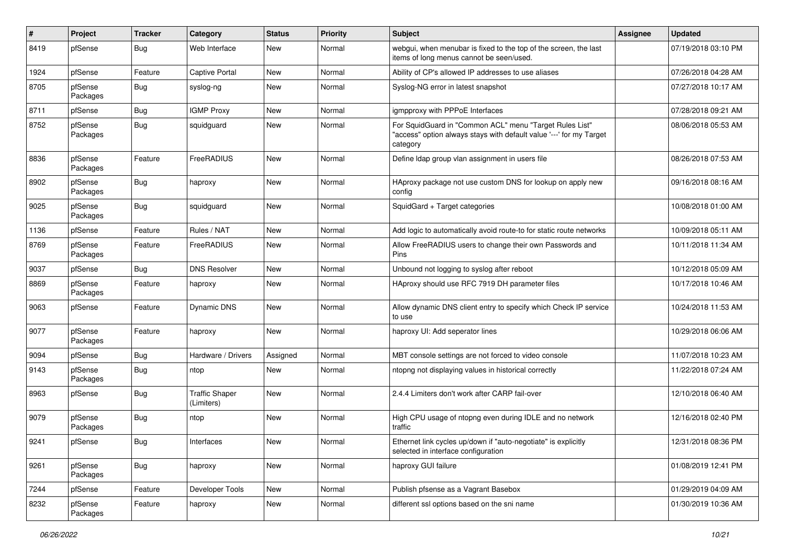| #    | Project             | <b>Tracker</b> | Category                            | <b>Status</b> | <b>Priority</b> | <b>Subject</b>                                                                                                                             | <b>Assignee</b> | <b>Updated</b>      |
|------|---------------------|----------------|-------------------------------------|---------------|-----------------|--------------------------------------------------------------------------------------------------------------------------------------------|-----------------|---------------------|
| 8419 | pfSense             | <b>Bug</b>     | Web Interface                       | New           | Normal          | webgui, when menubar is fixed to the top of the screen, the last<br>items of long menus cannot be seen/used.                               |                 | 07/19/2018 03:10 PM |
| 1924 | pfSense             | Feature        | <b>Captive Portal</b>               | New           | Normal          | Ability of CP's allowed IP addresses to use aliases                                                                                        |                 | 07/26/2018 04:28 AM |
| 8705 | pfSense<br>Packages | <b>Bug</b>     | syslog-ng                           | New           | Normal          | Syslog-NG error in latest snapshot                                                                                                         |                 | 07/27/2018 10:17 AM |
| 8711 | pfSense             | Bug            | <b>IGMP Proxy</b>                   | New           | Normal          | igmpproxy with PPPoE Interfaces                                                                                                            |                 | 07/28/2018 09:21 AM |
| 8752 | pfSense<br>Packages | <b>Bug</b>     | squidguard                          | New           | Normal          | For SquidGuard in "Common ACL" menu "Target Rules List"<br>"access" option always stays with default value '---' for my Target<br>category |                 | 08/06/2018 05:53 AM |
| 8836 | pfSense<br>Packages | Feature        | FreeRADIUS                          | New           | Normal          | Define Idap group vlan assignment in users file                                                                                            |                 | 08/26/2018 07:53 AM |
| 8902 | pfSense<br>Packages | <b>Bug</b>     | haproxy                             | New           | Normal          | HAproxy package not use custom DNS for lookup on apply new<br>config                                                                       |                 | 09/16/2018 08:16 AM |
| 9025 | pfSense<br>Packages | <b>Bug</b>     | squidguard                          | New           | Normal          | SquidGard + Target categories                                                                                                              |                 | 10/08/2018 01:00 AM |
| 1136 | pfSense             | Feature        | Rules / NAT                         | New           | Normal          | Add logic to automatically avoid route-to for static route networks                                                                        |                 | 10/09/2018 05:11 AM |
| 8769 | pfSense<br>Packages | Feature        | FreeRADIUS                          | New           | Normal          | Allow FreeRADIUS users to change their own Passwords and<br>Pins                                                                           |                 | 10/11/2018 11:34 AM |
| 9037 | pfSense             | <b>Bug</b>     | <b>DNS Resolver</b>                 | <b>New</b>    | Normal          | Unbound not logging to syslog after reboot                                                                                                 |                 | 10/12/2018 05:09 AM |
| 8869 | pfSense<br>Packages | Feature        | haproxy                             | New           | Normal          | HAproxy should use RFC 7919 DH parameter files                                                                                             |                 | 10/17/2018 10:46 AM |
| 9063 | pfSense             | Feature        | Dynamic DNS                         | New           | Normal          | Allow dynamic DNS client entry to specify which Check IP service<br>to use                                                                 |                 | 10/24/2018 11:53 AM |
| 9077 | pfSense<br>Packages | Feature        | haproxy                             | New           | Normal          | haproxy UI: Add seperator lines                                                                                                            |                 | 10/29/2018 06:06 AM |
| 9094 | pfSense             | <b>Bug</b>     | Hardware / Drivers                  | Assigned      | Normal          | MBT console settings are not forced to video console                                                                                       |                 | 11/07/2018 10:23 AM |
| 9143 | pfSense<br>Packages | <b>Bug</b>     | ntop                                | <b>New</b>    | Normal          | ntopng not displaying values in historical correctly                                                                                       |                 | 11/22/2018 07:24 AM |
| 8963 | pfSense             | <b>Bug</b>     | <b>Traffic Shaper</b><br>(Limiters) | New           | Normal          | 2.4.4 Limiters don't work after CARP fail-over                                                                                             |                 | 12/10/2018 06:40 AM |
| 9079 | pfSense<br>Packages | <b>Bug</b>     | ntop                                | New           | Normal          | High CPU usage of ntopng even during IDLE and no network<br>traffic                                                                        |                 | 12/16/2018 02:40 PM |
| 9241 | pfSense             | Bug            | Interfaces                          | New           | Normal          | Ethernet link cycles up/down if "auto-negotiate" is explicitly<br>selected in interface configuration                                      |                 | 12/31/2018 08:36 PM |
| 9261 | pfSense<br>Packages | <b>Bug</b>     | haproxy                             | New           | Normal          | haproxy GUI failure                                                                                                                        |                 | 01/08/2019 12:41 PM |
| 7244 | pfSense             | Feature        | Developer Tools                     | New           | Normal          | Publish pfsense as a Vagrant Basebox                                                                                                       |                 | 01/29/2019 04:09 AM |
| 8232 | pfSense<br>Packages | Feature        | haproxy                             | New           | Normal          | different ssl options based on the sni name                                                                                                |                 | 01/30/2019 10:36 AM |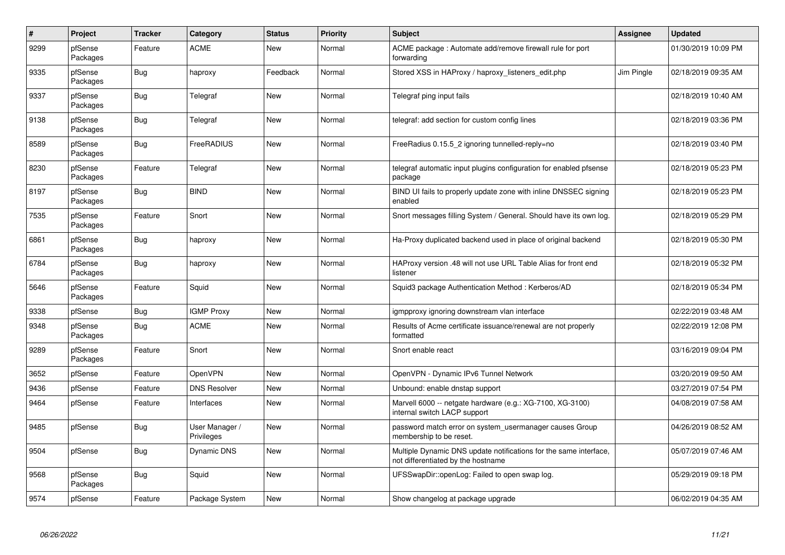| $\pmb{\#}$ | Project             | <b>Tracker</b> | Category                     | <b>Status</b> | Priority | <b>Subject</b>                                                                                          | <b>Assignee</b> | <b>Updated</b>      |
|------------|---------------------|----------------|------------------------------|---------------|----------|---------------------------------------------------------------------------------------------------------|-----------------|---------------------|
| 9299       | pfSense<br>Packages | Feature        | <b>ACME</b>                  | New           | Normal   | ACME package: Automate add/remove firewall rule for port<br>forwarding                                  |                 | 01/30/2019 10:09 PM |
| 9335       | pfSense<br>Packages | <b>Bug</b>     | haproxy                      | Feedback      | Normal   | Stored XSS in HAProxy / haproxy_listeners_edit.php                                                      | Jim Pingle      | 02/18/2019 09:35 AM |
| 9337       | pfSense<br>Packages | <b>Bug</b>     | Telegraf                     | <b>New</b>    | Normal   | Telegraf ping input fails                                                                               |                 | 02/18/2019 10:40 AM |
| 9138       | pfSense<br>Packages | <b>Bug</b>     | Telegraf                     | <b>New</b>    | Normal   | telegraf: add section for custom config lines                                                           |                 | 02/18/2019 03:36 PM |
| 8589       | pfSense<br>Packages | <b>Bug</b>     | FreeRADIUS                   | New           | Normal   | FreeRadius 0.15.5 2 ignoring tunnelled-reply=no                                                         |                 | 02/18/2019 03:40 PM |
| 8230       | pfSense<br>Packages | Feature        | Telegraf                     | New           | Normal   | telegraf automatic input plugins configuration for enabled pfsense<br>package                           |                 | 02/18/2019 05:23 PM |
| 8197       | pfSense<br>Packages | <b>Bug</b>     | <b>BIND</b>                  | New           | Normal   | BIND UI fails to properly update zone with inline DNSSEC signing<br>enabled                             |                 | 02/18/2019 05:23 PM |
| 7535       | pfSense<br>Packages | Feature        | Snort                        | New           | Normal   | Snort messages filling System / General. Should have its own log.                                       |                 | 02/18/2019 05:29 PM |
| 6861       | pfSense<br>Packages | <b>Bug</b>     | haproxy                      | <b>New</b>    | Normal   | Ha-Proxy duplicated backend used in place of original backend                                           |                 | 02/18/2019 05:30 PM |
| 6784       | pfSense<br>Packages | Bug            | haproxy                      | New           | Normal   | HAProxy version .48 will not use URL Table Alias for front end<br>listener                              |                 | 02/18/2019 05:32 PM |
| 5646       | pfSense<br>Packages | Feature        | Squid                        | <b>New</b>    | Normal   | Squid3 package Authentication Method: Kerberos/AD                                                       |                 | 02/18/2019 05:34 PM |
| 9338       | pfSense             | <b>Bug</b>     | <b>IGMP Proxy</b>            | <b>New</b>    | Normal   | igmpproxy ignoring downstream vlan interface                                                            |                 | 02/22/2019 03:48 AM |
| 9348       | pfSense<br>Packages | <b>Bug</b>     | <b>ACME</b>                  | <b>New</b>    | Normal   | Results of Acme certificate issuance/renewal are not properly<br>formatted                              |                 | 02/22/2019 12:08 PM |
| 9289       | pfSense<br>Packages | Feature        | Snort                        | <b>New</b>    | Normal   | Snort enable react                                                                                      |                 | 03/16/2019 09:04 PM |
| 3652       | pfSense             | Feature        | OpenVPN                      | <b>New</b>    | Normal   | OpenVPN - Dynamic IPv6 Tunnel Network                                                                   |                 | 03/20/2019 09:50 AM |
| 9436       | pfSense             | Feature        | <b>DNS Resolver</b>          | <b>New</b>    | Normal   | Unbound: enable dnstap support                                                                          |                 | 03/27/2019 07:54 PM |
| 9464       | pfSense             | Feature        | Interfaces                   | <b>New</b>    | Normal   | Marvell 6000 -- netgate hardware (e.g.: XG-7100, XG-3100)<br>internal switch LACP support               |                 | 04/08/2019 07:58 AM |
| 9485       | pfSense             | <b>Bug</b>     | User Manager /<br>Privileges | New           | Normal   | password match error on system usermanager causes Group<br>membership to be reset.                      |                 | 04/26/2019 08:52 AM |
| 9504       | pfSense             | <b>Bug</b>     | Dynamic DNS                  | <b>New</b>    | Normal   | Multiple Dynamic DNS update notifications for the same interface,<br>not differentiated by the hostname |                 | 05/07/2019 07:46 AM |
| 9568       | pfSense<br>Packages | <b>Bug</b>     | Squid                        | <b>New</b>    | Normal   | UFSSwapDir::openLog: Failed to open swap log.                                                           |                 | 05/29/2019 09:18 PM |
| 9574       | pfSense             | Feature        | Package System               | New           | Normal   | Show changelog at package upgrade                                                                       |                 | 06/02/2019 04:35 AM |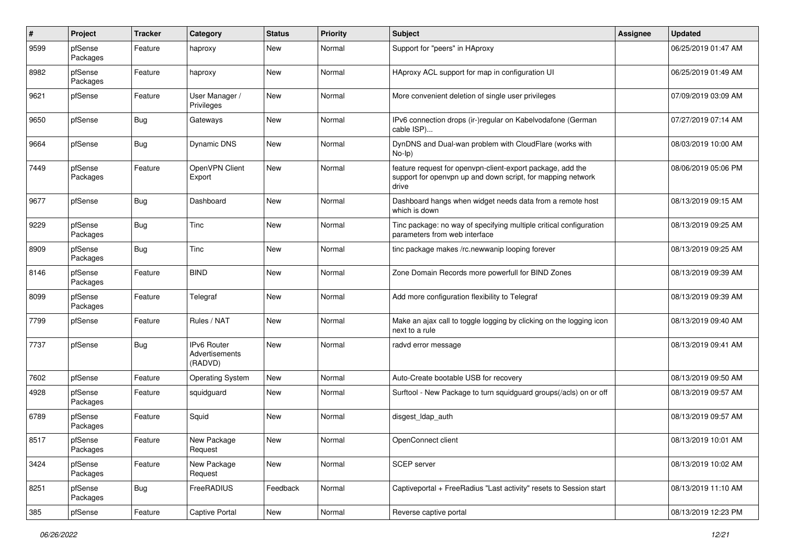| $\#$ | Project             | <b>Tracker</b> | <b>Category</b>                                 | <b>Status</b> | <b>Priority</b> | <b>Subject</b>                                                                                                                     | Assignee | <b>Updated</b>      |
|------|---------------------|----------------|-------------------------------------------------|---------------|-----------------|------------------------------------------------------------------------------------------------------------------------------------|----------|---------------------|
| 9599 | pfSense<br>Packages | Feature        | haproxy                                         | New           | Normal          | Support for "peers" in HAproxy                                                                                                     |          | 06/25/2019 01:47 AM |
| 8982 | pfSense<br>Packages | Feature        | haproxy                                         | New           | Normal          | HAproxy ACL support for map in configuration UI                                                                                    |          | 06/25/2019 01:49 AM |
| 9621 | pfSense             | Feature        | User Manager /<br>Privileges                    | New           | Normal          | More convenient deletion of single user privileges                                                                                 |          | 07/09/2019 03:09 AM |
| 9650 | pfSense             | Bug            | Gateways                                        | New           | Normal          | IPv6 connection drops (ir-)regular on Kabelvodafone (German<br>cable ISP)                                                          |          | 07/27/2019 07:14 AM |
| 9664 | pfSense             | <b>Bug</b>     | Dynamic DNS                                     | New           | Normal          | DynDNS and Dual-wan problem with CloudFlare (works with<br>$No-Ip)$                                                                |          | 08/03/2019 10:00 AM |
| 7449 | pfSense<br>Packages | Feature        | OpenVPN Client<br>Export                        | New           | Normal          | feature request for openvpn-client-export package, add the<br>support for openvpn up and down script, for mapping network<br>drive |          | 08/06/2019 05:06 PM |
| 9677 | pfSense             | Bug            | Dashboard                                       | <b>New</b>    | Normal          | Dashboard hangs when widget needs data from a remote host<br>which is down                                                         |          | 08/13/2019 09:15 AM |
| 9229 | pfSense<br>Packages | <b>Bug</b>     | Tinc                                            | <b>New</b>    | Normal          | Tinc package: no way of specifying multiple critical configuration<br>parameters from web interface                                |          | 08/13/2019 09:25 AM |
| 8909 | pfSense<br>Packages | <b>Bug</b>     | Tinc                                            | New           | Normal          | tinc package makes /rc.newwanip looping forever                                                                                    |          | 08/13/2019 09:25 AM |
| 8146 | pfSense<br>Packages | Feature        | <b>BIND</b>                                     | New           | Normal          | Zone Domain Records more powerfull for BIND Zones                                                                                  |          | 08/13/2019 09:39 AM |
| 8099 | pfSense<br>Packages | Feature        | Telegraf                                        | New           | Normal          | Add more configuration flexibility to Telegraf                                                                                     |          | 08/13/2019 09:39 AM |
| 7799 | pfSense             | Feature        | Rules / NAT                                     | <b>New</b>    | Normal          | Make an ajax call to toggle logging by clicking on the logging icon<br>next to a rule                                              |          | 08/13/2019 09:40 AM |
| 7737 | pfSense             | <b>Bug</b>     | <b>IPv6 Router</b><br>Advertisements<br>(RADVD) | <b>New</b>    | Normal          | radvd error message                                                                                                                |          | 08/13/2019 09:41 AM |
| 7602 | pfSense             | Feature        | <b>Operating System</b>                         | New           | Normal          | Auto-Create bootable USB for recovery                                                                                              |          | 08/13/2019 09:50 AM |
| 4928 | pfSense<br>Packages | Feature        | squidguard                                      | New           | Normal          | Surftool - New Package to turn squidguard groups(/acls) on or off                                                                  |          | 08/13/2019 09:57 AM |
| 6789 | pfSense<br>Packages | Feature        | Squid                                           | New           | Normal          | disgest Idap auth                                                                                                                  |          | 08/13/2019 09:57 AM |
| 8517 | pfSense<br>Packages | Feature        | New Package<br>Request                          | New           | Normal          | OpenConnect client                                                                                                                 |          | 08/13/2019 10:01 AM |
| 3424 | pfSense<br>Packages | Feature        | New Package<br>Request                          | New           | Normal          | SCEP server                                                                                                                        |          | 08/13/2019 10:02 AM |
| 8251 | pfSense<br>Packages | <b>Bug</b>     | FreeRADIUS                                      | Feedback      | Normal          | Captiveportal + FreeRadius "Last activity" resets to Session start                                                                 |          | 08/13/2019 11:10 AM |
| 385  | pfSense             | Feature        | <b>Captive Portal</b>                           | New           | Normal          | Reverse captive portal                                                                                                             |          | 08/13/2019 12:23 PM |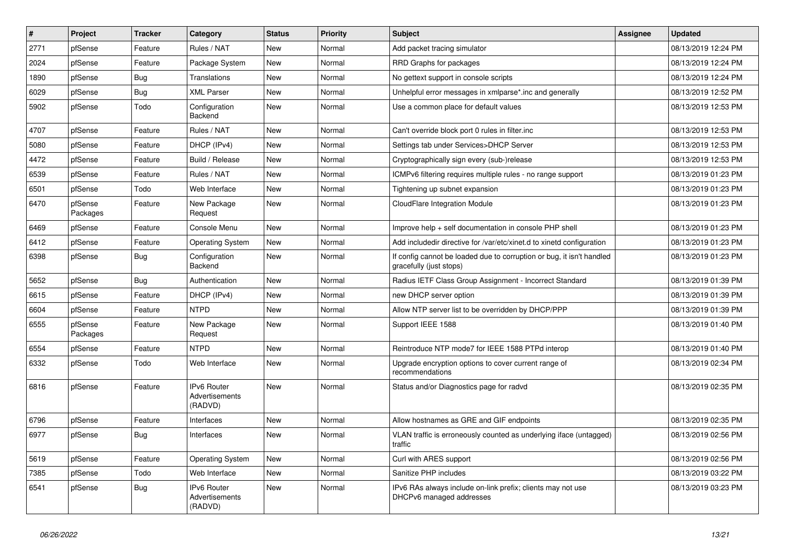| #    | Project             | <b>Tracker</b> | Category                                 | <b>Status</b> | Priority | <b>Subject</b>                                                                                   | <b>Assignee</b> | <b>Updated</b>      |
|------|---------------------|----------------|------------------------------------------|---------------|----------|--------------------------------------------------------------------------------------------------|-----------------|---------------------|
| 2771 | pfSense             | Feature        | Rules / NAT                              | New           | Normal   | Add packet tracing simulator                                                                     |                 | 08/13/2019 12:24 PM |
| 2024 | pfSense             | Feature        | Package System                           | <b>New</b>    | Normal   | RRD Graphs for packages                                                                          |                 | 08/13/2019 12:24 PM |
| 1890 | pfSense             | Bug            | Translations                             | New           | Normal   | No gettext support in console scripts                                                            |                 | 08/13/2019 12:24 PM |
| 6029 | pfSense             | <b>Bug</b>     | <b>XML Parser</b>                        | New           | Normal   | Unhelpful error messages in xmlparse*.inc and generally                                          |                 | 08/13/2019 12:52 PM |
| 5902 | pfSense             | Todo           | Configuration<br>Backend                 | New           | Normal   | Use a common place for default values                                                            |                 | 08/13/2019 12:53 PM |
| 4707 | pfSense             | Feature        | Rules / NAT                              | New           | Normal   | Can't override block port 0 rules in filter.inc                                                  |                 | 08/13/2019 12:53 PM |
| 5080 | pfSense             | Feature        | DHCP (IPv4)                              | <b>New</b>    | Normal   | Settings tab under Services>DHCP Server                                                          |                 | 08/13/2019 12:53 PM |
| 4472 | pfSense             | Feature        | Build / Release                          | New           | Normal   | Cryptographically sign every (sub-)release                                                       |                 | 08/13/2019 12:53 PM |
| 6539 | pfSense             | Feature        | Rules / NAT                              | <b>New</b>    | Normal   | ICMPv6 filtering requires multiple rules - no range support                                      |                 | 08/13/2019 01:23 PM |
| 6501 | pfSense             | Todo           | Web Interface                            | New           | Normal   | Tightening up subnet expansion                                                                   |                 | 08/13/2019 01:23 PM |
| 6470 | pfSense<br>Packages | Feature        | New Package<br>Request                   | New           | Normal   | CloudFlare Integration Module                                                                    |                 | 08/13/2019 01:23 PM |
| 6469 | pfSense             | Feature        | Console Menu                             | <b>New</b>    | Normal   | Improve help + self documentation in console PHP shell                                           |                 | 08/13/2019 01:23 PM |
| 6412 | pfSense             | Feature        | <b>Operating System</b>                  | New           | Normal   | Add includedir directive for /var/etc/xinet.d to xinetd configuration                            |                 | 08/13/2019 01:23 PM |
| 6398 | pfSense             | <b>Bug</b>     | Configuration<br><b>Backend</b>          | <b>New</b>    | Normal   | If config cannot be loaded due to corruption or bug, it isn't handled<br>gracefully (just stops) |                 | 08/13/2019 01:23 PM |
| 5652 | pfSense             | <b>Bug</b>     | Authentication                           | <b>New</b>    | Normal   | Radius IETF Class Group Assignment - Incorrect Standard                                          |                 | 08/13/2019 01:39 PM |
| 6615 | pfSense             | Feature        | DHCP (IPv4)                              | New           | Normal   | new DHCP server option                                                                           |                 | 08/13/2019 01:39 PM |
| 6604 | pfSense             | Feature        | <b>NTPD</b>                              | <b>New</b>    | Normal   | Allow NTP server list to be overridden by DHCP/PPP                                               |                 | 08/13/2019 01:39 PM |
| 6555 | pfSense<br>Packages | Feature        | New Package<br>Request                   | New           | Normal   | Support IEEE 1588                                                                                |                 | 08/13/2019 01:40 PM |
| 6554 | pfSense             | Feature        | <b>NTPD</b>                              | New           | Normal   | Reintroduce NTP mode7 for IEEE 1588 PTPd interop                                                 |                 | 08/13/2019 01:40 PM |
| 6332 | pfSense             | Todo           | Web Interface                            | New           | Normal   | Upgrade encryption options to cover current range of<br>recommendations                          |                 | 08/13/2019 02:34 PM |
| 6816 | pfSense             | Feature        | IPv6 Router<br>Advertisements<br>(RADVD) | <b>New</b>    | Normal   | Status and/or Diagnostics page for radvd                                                         |                 | 08/13/2019 02:35 PM |
| 6796 | pfSense             | Feature        | Interfaces                               | New           | Normal   | Allow hostnames as GRE and GIF endpoints                                                         |                 | 08/13/2019 02:35 PM |
| 6977 | pfSense             | <b>Bug</b>     | Interfaces                               | New           | Normal   | VLAN traffic is erroneously counted as underlying iface (untagged)<br>traffic                    |                 | 08/13/2019 02:56 PM |
| 5619 | pfSense             | Feature        | <b>Operating System</b>                  | New           | Normal   | Curl with ARES support                                                                           |                 | 08/13/2019 02:56 PM |
| 7385 | pfSense             | Todo           | Web Interface                            | New           | Normal   | Sanitize PHP includes                                                                            |                 | 08/13/2019 03:22 PM |
| 6541 | pfSense             | <b>Bug</b>     | IPv6 Router<br>Advertisements<br>(RADVD) | New           | Normal   | IPv6 RAs always include on-link prefix; clients may not use<br>DHCPv6 managed addresses          |                 | 08/13/2019 03:23 PM |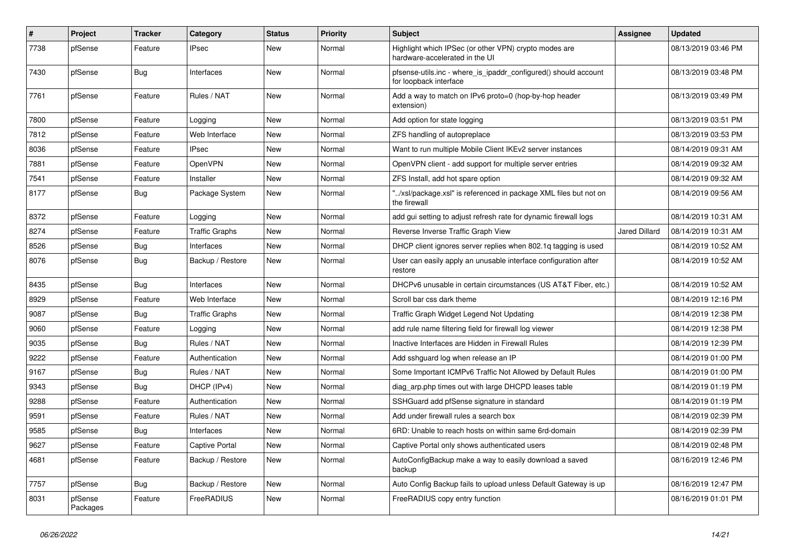| #    | Project             | <b>Tracker</b> | Category              | <b>Status</b> | <b>Priority</b> | <b>Subject</b>                                                                            | Assignee             | <b>Updated</b>      |
|------|---------------------|----------------|-----------------------|---------------|-----------------|-------------------------------------------------------------------------------------------|----------------------|---------------------|
| 7738 | pfSense             | Feature        | <b>IPsec</b>          | New           | Normal          | Highlight which IPSec (or other VPN) crypto modes are<br>hardware-accelerated in the UI   |                      | 08/13/2019 03:46 PM |
| 7430 | pfSense             | Bug            | Interfaces            | New           | Normal          | pfsense-utils.inc - where is ipaddr configured() should account<br>for loopback interface |                      | 08/13/2019 03:48 PM |
| 7761 | pfSense             | Feature        | Rules / NAT           | <b>New</b>    | Normal          | Add a way to match on IPv6 proto=0 (hop-by-hop header<br>extension)                       |                      | 08/13/2019 03:49 PM |
| 7800 | pfSense             | Feature        | Logging               | <b>New</b>    | Normal          | Add option for state logging                                                              |                      | 08/13/2019 03:51 PM |
| 7812 | pfSense             | Feature        | Web Interface         | <b>New</b>    | Normal          | ZFS handling of autopreplace                                                              |                      | 08/13/2019 03:53 PM |
| 8036 | pfSense             | Feature        | <b>IPsec</b>          | New           | Normal          | Want to run multiple Mobile Client IKEv2 server instances                                 |                      | 08/14/2019 09:31 AM |
| 7881 | pfSense             | Feature        | OpenVPN               | <b>New</b>    | Normal          | OpenVPN client - add support for multiple server entries                                  |                      | 08/14/2019 09:32 AM |
| 7541 | pfSense             | Feature        | Installer             | New           | Normal          | ZFS Install, add hot spare option                                                         |                      | 08/14/2019 09:32 AM |
| 8177 | pfSense             | Bug            | Package System        | New           | Normal          | "/xsl/package.xsl" is referenced in package XML files but not on<br>the firewall          |                      | 08/14/2019 09:56 AM |
| 8372 | pfSense             | Feature        | Logging               | <b>New</b>    | Normal          | add gui setting to adjust refresh rate for dynamic firewall logs                          |                      | 08/14/2019 10:31 AM |
| 8274 | pfSense             | Feature        | <b>Traffic Graphs</b> | New           | Normal          | Reverse Inverse Traffic Graph View                                                        | <b>Jared Dillard</b> | 08/14/2019 10:31 AM |
| 8526 | pfSense             | Bug            | Interfaces            | <b>New</b>    | Normal          | DHCP client ignores server replies when 802.1q tagging is used                            |                      | 08/14/2019 10:52 AM |
| 8076 | pfSense             | Bug            | Backup / Restore      | New           | Normal          | User can easily apply an unusable interface configuration after<br>restore                |                      | 08/14/2019 10:52 AM |
| 8435 | pfSense             | Bug            | Interfaces            | New           | Normal          | DHCPv6 unusable in certain circumstances (US AT&T Fiber, etc.)                            |                      | 08/14/2019 10:52 AM |
| 8929 | pfSense             | Feature        | Web Interface         | <b>New</b>    | Normal          | Scroll bar css dark theme                                                                 |                      | 08/14/2019 12:16 PM |
| 9087 | pfSense             | Bug            | <b>Traffic Graphs</b> | <b>New</b>    | Normal          | Traffic Graph Widget Legend Not Updating                                                  |                      | 08/14/2019 12:38 PM |
| 9060 | pfSense             | Feature        | Logging               | New           | Normal          | add rule name filtering field for firewall log viewer                                     |                      | 08/14/2019 12:38 PM |
| 9035 | pfSense             | <b>Bug</b>     | Rules / NAT           | <b>New</b>    | Normal          | Inactive Interfaces are Hidden in Firewall Rules                                          |                      | 08/14/2019 12:39 PM |
| 9222 | pfSense             | Feature        | Authentication        | New           | Normal          | Add sshquard log when release an IP                                                       |                      | 08/14/2019 01:00 PM |
| 9167 | pfSense             | <b>Bug</b>     | Rules / NAT           | New           | Normal          | Some Important ICMPv6 Traffic Not Allowed by Default Rules                                |                      | 08/14/2019 01:00 PM |
| 9343 | pfSense             | Bug            | DHCP (IPv4)           | New           | Normal          | diag arp.php times out with large DHCPD leases table                                      |                      | 08/14/2019 01:19 PM |
| 9288 | pfSense             | Feature        | Authentication        | New           | Normal          | SSHGuard add pfSense signature in standard                                                |                      | 08/14/2019 01:19 PM |
| 9591 | pfSense             | Feature        | Rules / NAT           | New           | Normal          | Add under firewall rules a search box                                                     |                      | 08/14/2019 02:39 PM |
| 9585 | pfSense             | Bug            | Interfaces            | New           | Normal          | 6RD: Unable to reach hosts on within same 6rd-domain                                      |                      | 08/14/2019 02:39 PM |
| 9627 | pfSense             | Feature        | <b>Captive Portal</b> | <b>New</b>    | Normal          | Captive Portal only shows authenticated users                                             |                      | 08/14/2019 02:48 PM |
| 4681 | pfSense             | Feature        | Backup / Restore      | <b>New</b>    | Normal          | AutoConfigBackup make a way to easily download a saved<br>backup                          |                      | 08/16/2019 12:46 PM |
| 7757 | pfSense             | <b>Bug</b>     | Backup / Restore      | <b>New</b>    | Normal          | Auto Config Backup fails to upload unless Default Gateway is up                           |                      | 08/16/2019 12:47 PM |
| 8031 | pfSense<br>Packages | Feature        | FreeRADIUS            | <b>New</b>    | Normal          | FreeRADIUS copy entry function                                                            |                      | 08/16/2019 01:01 PM |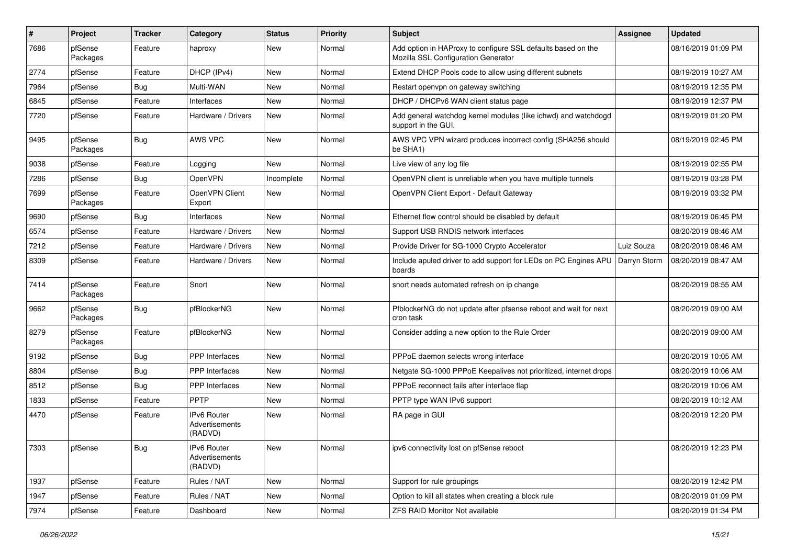| $\pmb{\#}$ | Project             | <b>Tracker</b> | Category                                 | <b>Status</b> | <b>Priority</b> | <b>Subject</b>                                                                                      | <b>Assignee</b> | <b>Updated</b>      |
|------------|---------------------|----------------|------------------------------------------|---------------|-----------------|-----------------------------------------------------------------------------------------------------|-----------------|---------------------|
| 7686       | pfSense<br>Packages | Feature        | haproxy                                  | New           | Normal          | Add option in HAProxy to configure SSL defaults based on the<br>Mozilla SSL Configuration Generator |                 | 08/16/2019 01:09 PM |
| 2774       | pfSense             | Feature        | DHCP (IPv4)                              | New           | Normal          | Extend DHCP Pools code to allow using different subnets                                             |                 | 08/19/2019 10:27 AM |
| 7964       | pfSense             | <b>Bug</b>     | Multi-WAN                                | New           | Normal          | Restart openypn on gateway switching                                                                |                 | 08/19/2019 12:35 PM |
| 6845       | pfSense             | Feature        | Interfaces                               | <b>New</b>    | Normal          | DHCP / DHCPv6 WAN client status page                                                                |                 | 08/19/2019 12:37 PM |
| 7720       | pfSense             | Feature        | Hardware / Drivers                       | New           | Normal          | Add general watchdog kernel modules (like ichwd) and watchdogd<br>support in the GUI.               |                 | 08/19/2019 01:20 PM |
| 9495       | pfSense<br>Packages | Bug            | AWS VPC                                  | New           | Normal          | AWS VPC VPN wizard produces incorrect config (SHA256 should<br>be SHA1)                             |                 | 08/19/2019 02:45 PM |
| 9038       | pfSense             | Feature        | Logging                                  | New           | Normal          | Live view of any log file                                                                           |                 | 08/19/2019 02:55 PM |
| 7286       | pfSense             | Bug            | OpenVPN                                  | Incomplete    | Normal          | OpenVPN client is unreliable when you have multiple tunnels                                         |                 | 08/19/2019 03:28 PM |
| 7699       | pfSense<br>Packages | Feature        | OpenVPN Client<br>Export                 | New           | Normal          | OpenVPN Client Export - Default Gateway                                                             |                 | 08/19/2019 03:32 PM |
| 9690       | pfSense             | <b>Bug</b>     | Interfaces                               | <b>New</b>    | Normal          | Ethernet flow control should be disabled by default                                                 |                 | 08/19/2019 06:45 PM |
| 6574       | pfSense             | Feature        | Hardware / Drivers                       | New           | Normal          | Support USB RNDIS network interfaces                                                                |                 | 08/20/2019 08:46 AM |
| 7212       | pfSense             | Feature        | Hardware / Drivers                       | <b>New</b>    | Normal          | Provide Driver for SG-1000 Crypto Accelerator                                                       | Luiz Souza      | 08/20/2019 08:46 AM |
| 8309       | pfSense             | Feature        | Hardware / Drivers                       | New           | Normal          | Include apuled driver to add support for LEDs on PC Engines APU   Darryn Storm<br>boards            |                 | 08/20/2019 08:47 AM |
| 7414       | pfSense<br>Packages | Feature        | Snort                                    | <b>New</b>    | Normal          | snort needs automated refresh on ip change                                                          |                 | 08/20/2019 08:55 AM |
| 9662       | pfSense<br>Packages | <b>Bug</b>     | pfBlockerNG                              | <b>New</b>    | Normal          | PfblockerNG do not update after pfsense reboot and wait for next<br>cron task                       |                 | 08/20/2019 09:00 AM |
| 8279       | pfSense<br>Packages | Feature        | pfBlockerNG                              | New           | Normal          | Consider adding a new option to the Rule Order                                                      |                 | 08/20/2019 09:00 AM |
| 9192       | pfSense             | <b>Bug</b>     | <b>PPP</b> Interfaces                    | New           | Normal          | PPPoE daemon selects wrong interface                                                                |                 | 08/20/2019 10:05 AM |
| 8804       | pfSense             | <b>Bug</b>     | PPP Interfaces                           | New           | Normal          | Netgate SG-1000 PPPoE Keepalives not prioritized, internet drops                                    |                 | 08/20/2019 10:06 AM |
| 8512       | pfSense             | <b>Bug</b>     | <b>PPP</b> Interfaces                    | New           | Normal          | PPPoE reconnect fails after interface flap                                                          |                 | 08/20/2019 10:06 AM |
| 1833       | pfSense             | Feature        | PPTP                                     | New           | Normal          | PPTP type WAN IPv6 support                                                                          |                 | 08/20/2019 10:12 AM |
| 4470       | pfSense             | Feature        | IPv6 Router<br>Advertisements<br>(RADVD) | <b>New</b>    | Normal          | RA page in GUI                                                                                      |                 | 08/20/2019 12:20 PM |
| 7303       | pfSense             | <b>Bug</b>     | IPv6 Router<br>Advertisements<br>(RADVD) | New           | Normal          | ipv6 connectivity lost on pfSense reboot                                                            |                 | 08/20/2019 12:23 PM |
| 1937       | pfSense             | Feature        | Rules / NAT                              | New           | Normal          | Support for rule groupings                                                                          |                 | 08/20/2019 12:42 PM |
| 1947       | pfSense             | Feature        | Rules / NAT                              | New           | Normal          | Option to kill all states when creating a block rule                                                |                 | 08/20/2019 01:09 PM |
| 7974       | pfSense             | Feature        | Dashboard                                | New           | Normal          | ZFS RAID Monitor Not available                                                                      |                 | 08/20/2019 01:34 PM |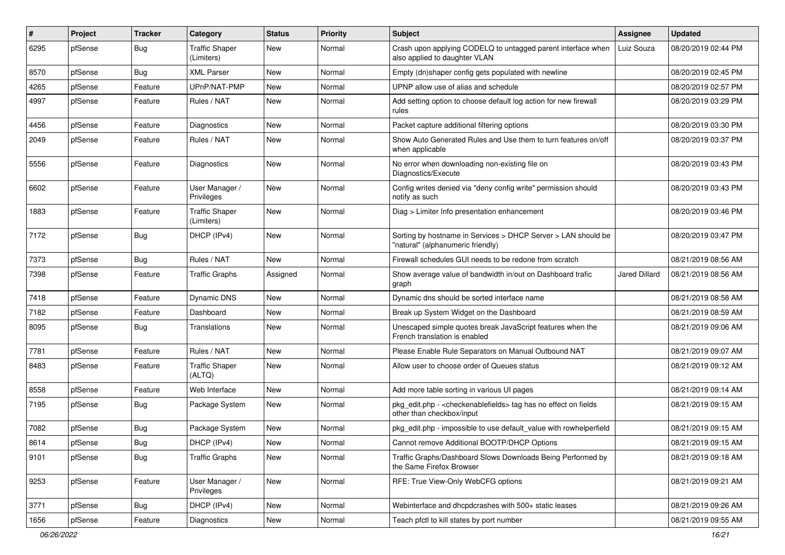| #    | Project | <b>Tracker</b> | Category                            | <b>Status</b> | Priority | <b>Subject</b>                                                                                     | <b>Assignee</b> | <b>Updated</b>      |
|------|---------|----------------|-------------------------------------|---------------|----------|----------------------------------------------------------------------------------------------------|-----------------|---------------------|
| 6295 | pfSense | <b>Bug</b>     | <b>Traffic Shaper</b><br>(Limiters) | New           | Normal   | Crash upon applying CODELQ to untagged parent interface when<br>also applied to daughter VLAN      | Luiz Souza      | 08/20/2019 02:44 PM |
| 8570 | pfSense | Bug            | <b>XML Parser</b>                   | New           | Normal   | Empty (dn)shaper config gets populated with newline                                                |                 | 08/20/2019 02:45 PM |
| 4265 | pfSense | Feature        | UPnP/NAT-PMP                        | New           | Normal   | UPNP allow use of alias and schedule                                                               |                 | 08/20/2019 02:57 PM |
| 4997 | pfSense | Feature        | Rules / NAT                         | New           | Normal   | Add setting option to choose default log action for new firewall<br>rules                          |                 | 08/20/2019 03:29 PM |
| 4456 | pfSense | Feature        | <b>Diagnostics</b>                  | New           | Normal   | Packet capture additional filtering options                                                        |                 | 08/20/2019 03:30 PM |
| 2049 | pfSense | Feature        | Rules / NAT                         | New           | Normal   | Show Auto Generated Rules and Use them to turn features on/off<br>when applicable                  |                 | 08/20/2019 03:37 PM |
| 5556 | pfSense | Feature        | Diagnostics                         | New           | Normal   | No error when downloading non-existing file on<br>Diagnostics/Execute                              |                 | 08/20/2019 03:43 PM |
| 6602 | pfSense | Feature        | User Manager /<br>Privileges        | New           | Normal   | Config writes denied via "deny config write" permission should<br>notify as such                   |                 | 08/20/2019 03:43 PM |
| 1883 | pfSense | Feature        | <b>Traffic Shaper</b><br>(Limiters) | New           | Normal   | Diag > Limiter Info presentation enhancement                                                       |                 | 08/20/2019 03:46 PM |
| 7172 | pfSense | <b>Bug</b>     | DHCP (IPv4)                         | New           | Normal   | Sorting by hostname in Services > DHCP Server > LAN should be<br>"natural" (alphanumeric friendly) |                 | 08/20/2019 03:47 PM |
| 7373 | pfSense | <b>Bug</b>     | Rules / NAT                         | New           | Normal   | Firewall schedules GUI needs to be redone from scratch                                             |                 | 08/21/2019 08:56 AM |
| 7398 | pfSense | Feature        | <b>Traffic Graphs</b>               | Assigned      | Normal   | Show average value of bandwidth in/out on Dashboard trafic<br>graph                                | Jared Dillard   | 08/21/2019 08:56 AM |
| 7418 | pfSense | Feature        | <b>Dynamic DNS</b>                  | New           | Normal   | Dynamic dns should be sorted interface name                                                        |                 | 08/21/2019 08:58 AM |
| 7182 | pfSense | Feature        | Dashboard                           | New           | Normal   | Break up System Widget on the Dashboard                                                            |                 | 08/21/2019 08:59 AM |
| 8095 | pfSense | <b>Bug</b>     | Translations                        | New           | Normal   | Unescaped simple quotes break JavaScript features when the<br>French translation is enabled        |                 | 08/21/2019 09:06 AM |
| 7781 | pfSense | Feature        | Rules / NAT                         | New           | Normal   | Please Enable Rule Separators on Manual Outbound NAT                                               |                 | 08/21/2019 09:07 AM |
| 8483 | pfSense | Feature        | <b>Traffic Shaper</b><br>(ALTQ)     | New           | Normal   | Allow user to choose order of Queues status                                                        |                 | 08/21/2019 09:12 AM |
| 8558 | pfSense | Feature        | Web Interface                       | New           | Normal   | Add more table sorting in various UI pages                                                         |                 | 08/21/2019 09:14 AM |
| 7195 | pfSense | <b>Bug</b>     | Package System                      | New           | Normal   | pkg_edit.php - < checkenablefields> tag has no effect on fields<br>other than checkbox/input       |                 | 08/21/2019 09:15 AM |
| 7082 | pfSense | <b>Bug</b>     | Package System                      | New           | Normal   | pkg edit.php - impossible to use default value with rowhelperfield                                 |                 | 08/21/2019 09:15 AM |
| 8614 | pfSense | <b>Bug</b>     | DHCP (IPv4)                         | New           | Normal   | Cannot remove Additional BOOTP/DHCP Options                                                        |                 | 08/21/2019 09:15 AM |
| 9101 | pfSense | Bug            | <b>Traffic Graphs</b>               | New           | Normal   | Traffic Graphs/Dashboard Slows Downloads Being Performed by<br>the Same Firefox Browser            |                 | 08/21/2019 09:18 AM |
| 9253 | pfSense | Feature        | User Manager /<br>Privileges        | New           | Normal   | RFE: True View-Only WebCFG options                                                                 |                 | 08/21/2019 09:21 AM |
| 3771 | pfSense | <b>Bug</b>     | DHCP (IPv4)                         | New           | Normal   | Webinterface and dhcpdcrashes with 500+ static leases                                              |                 | 08/21/2019 09:26 AM |
| 1656 | pfSense | Feature        | Diagnostics                         | New           | Normal   | Teach pfctl to kill states by port number                                                          |                 | 08/21/2019 09:55 AM |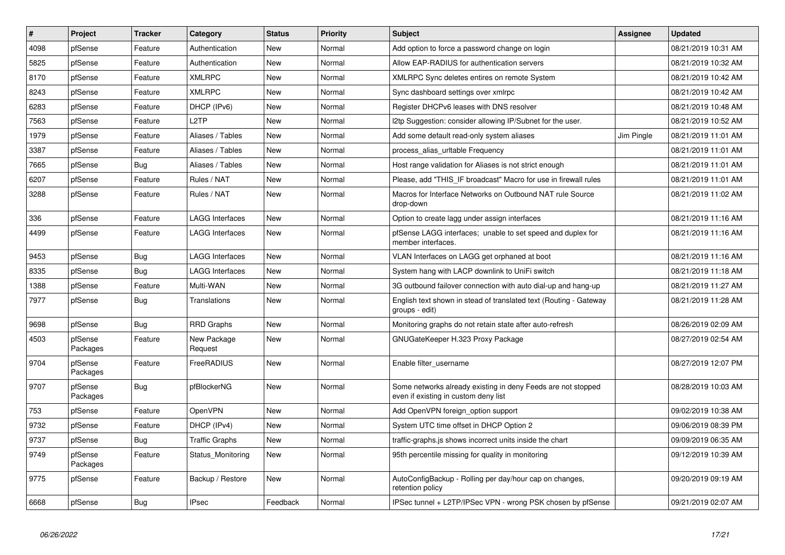| $\sharp$ | Project             | <b>Tracker</b> | Category               | <b>Status</b> | <b>Priority</b> | <b>Subject</b>                                                                                       | <b>Assignee</b> | <b>Updated</b>      |
|----------|---------------------|----------------|------------------------|---------------|-----------------|------------------------------------------------------------------------------------------------------|-----------------|---------------------|
| 4098     | pfSense             | Feature        | Authentication         | New           | Normal          | Add option to force a password change on login                                                       |                 | 08/21/2019 10:31 AM |
| 5825     | pfSense             | Feature        | Authentication         | <b>New</b>    | Normal          | Allow EAP-RADIUS for authentication servers                                                          |                 | 08/21/2019 10:32 AM |
| 8170     | pfSense             | Feature        | <b>XMLRPC</b>          | <b>New</b>    | Normal          | XMLRPC Sync deletes entires on remote System                                                         |                 | 08/21/2019 10:42 AM |
| 8243     | pfSense             | Feature        | <b>XMLRPC</b>          | New           | Normal          | Sync dashboard settings over xmlrpc                                                                  |                 | 08/21/2019 10:42 AM |
| 6283     | pfSense             | Feature        | DHCP (IPv6)            | <b>New</b>    | Normal          | Register DHCPv6 leases with DNS resolver                                                             |                 | 08/21/2019 10:48 AM |
| 7563     | pfSense             | Feature        | L <sub>2</sub> TP      | <b>New</b>    | Normal          | 12tp Suggestion: consider allowing IP/Subnet for the user.                                           |                 | 08/21/2019 10:52 AM |
| 1979     | pfSense             | Feature        | Aliases / Tables       | New           | Normal          | Add some default read-only system aliases                                                            | Jim Pingle      | 08/21/2019 11:01 AM |
| 3387     | pfSense             | Feature        | Aliases / Tables       | New           | Normal          | process_alias_urItable Frequency                                                                     |                 | 08/21/2019 11:01 AM |
| 7665     | pfSense             | <b>Bug</b>     | Aliases / Tables       | New           | Normal          | Host range validation for Aliases is not strict enough                                               |                 | 08/21/2019 11:01 AM |
| 6207     | pfSense             | Feature        | Rules / NAT            | <b>New</b>    | Normal          | Please, add "THIS IF broadcast" Macro for use in firewall rules                                      |                 | 08/21/2019 11:01 AM |
| 3288     | pfSense             | Feature        | Rules / NAT            | New           | Normal          | Macros for Interface Networks on Outbound NAT rule Source<br>drop-down                               |                 | 08/21/2019 11:02 AM |
| 336      | pfSense             | Feature        | <b>LAGG Interfaces</b> | <b>New</b>    | Normal          | Option to create lagg under assign interfaces                                                        |                 | 08/21/2019 11:16 AM |
| 4499     | pfSense             | Feature        | LAGG Interfaces        | New           | Normal          | pfSense LAGG interfaces; unable to set speed and duplex for<br>member interfaces.                    |                 | 08/21/2019 11:16 AM |
| 9453     | pfSense             | <b>Bug</b>     | <b>LAGG Interfaces</b> | New           | Normal          | VLAN Interfaces on LAGG get orphaned at boot                                                         |                 | 08/21/2019 11:16 AM |
| 8335     | pfSense             | <b>Bug</b>     | LAGG Interfaces        | <b>New</b>    | Normal          | System hang with LACP downlink to UniFi switch                                                       |                 | 08/21/2019 11:18 AM |
| 1388     | pfSense             | Feature        | Multi-WAN              | New           | Normal          | 3G outbound failover connection with auto dial-up and hang-up                                        |                 | 08/21/2019 11:27 AM |
| 7977     | pfSense             | <b>Bug</b>     | Translations           | <b>New</b>    | Normal          | English text shown in stead of translated text (Routing - Gateway<br>groups - edit)                  |                 | 08/21/2019 11:28 AM |
| 9698     | pfSense             | Bug            | <b>RRD Graphs</b>      | <b>New</b>    | Normal          | Monitoring graphs do not retain state after auto-refresh                                             |                 | 08/26/2019 02:09 AM |
| 4503     | pfSense<br>Packages | Feature        | New Package<br>Request | New           | Normal          | GNUGateKeeper H.323 Proxy Package                                                                    |                 | 08/27/2019 02:54 AM |
| 9704     | pfSense<br>Packages | Feature        | FreeRADIUS             | <b>New</b>    | Normal          | Enable filter username                                                                               |                 | 08/27/2019 12:07 PM |
| 9707     | pfSense<br>Packages | Bug            | pfBlockerNG            | <b>New</b>    | Normal          | Some networks already existing in deny Feeds are not stopped<br>even if existing in custom deny list |                 | 08/28/2019 10:03 AM |
| 753      | pfSense             | Feature        | <b>OpenVPN</b>         | <b>New</b>    | Normal          | Add OpenVPN foreign_option support                                                                   |                 | 09/02/2019 10:38 AM |
| 9732     | pfSense             | Feature        | DHCP (IPv4)            | New           | Normal          | System UTC time offset in DHCP Option 2                                                              |                 | 09/06/2019 08:39 PM |
| 9737     | pfSense             | Bug            | <b>Traffic Graphs</b>  | New           | Normal          | traffic-graphs is shows incorrect units inside the chart                                             |                 | 09/09/2019 06:35 AM |
| 9749     | pfSense<br>Packages | Feature        | Status_Monitoring      | New           | Normal          | 95th percentile missing for quality in monitoring                                                    |                 | 09/12/2019 10:39 AM |
| 9775     | pfSense             | Feature        | Backup / Restore       | New           | Normal          | AutoConfigBackup - Rolling per day/hour cap on changes,<br>retention policy                          |                 | 09/20/2019 09:19 AM |
| 6668     | pfSense             | <b>Bug</b>     | <b>IPsec</b>           | Feedback      | Normal          | IPSec tunnel + L2TP/IPSec VPN - wrong PSK chosen by pfSense                                          |                 | 09/21/2019 02:07 AM |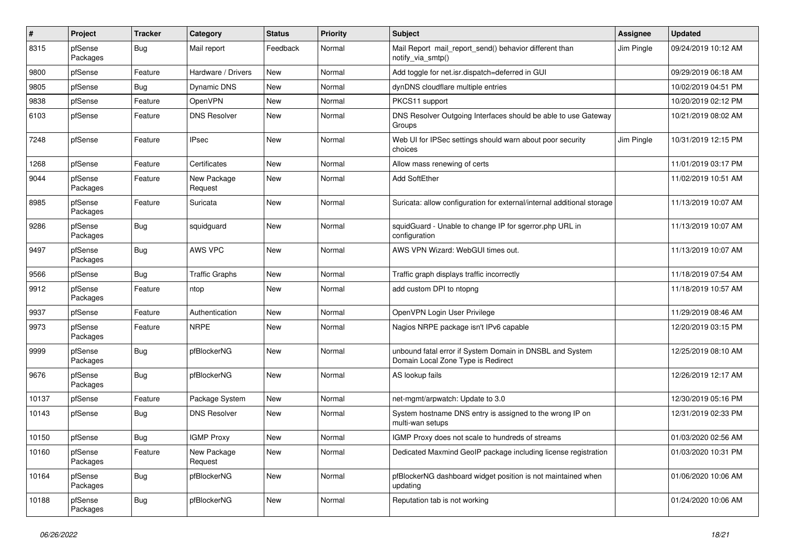| $\pmb{\#}$ | Project             | <b>Tracker</b> | Category               | <b>Status</b> | Priority | <b>Subject</b>                                                                                 | <b>Assignee</b> | <b>Updated</b>      |
|------------|---------------------|----------------|------------------------|---------------|----------|------------------------------------------------------------------------------------------------|-----------------|---------------------|
| 8315       | pfSense<br>Packages | <b>Bug</b>     | Mail report            | Feedback      | Normal   | Mail Report mail report send() behavior different than<br>notify_via_smtp()                    | Jim Pingle      | 09/24/2019 10:12 AM |
| 9800       | pfSense             | Feature        | Hardware / Drivers     | New           | Normal   | Add toggle for net.isr.dispatch=deferred in GUI                                                |                 | 09/29/2019 06:18 AM |
| 9805       | pfSense             | <b>Bug</b>     | Dynamic DNS            | New           | Normal   | dynDNS cloudflare multiple entries                                                             |                 | 10/02/2019 04:51 PM |
| 9838       | pfSense             | Feature        | OpenVPN                | <b>New</b>    | Normal   | PKCS11 support                                                                                 |                 | 10/20/2019 02:12 PM |
| 6103       | pfSense             | Feature        | <b>DNS Resolver</b>    | New           | Normal   | DNS Resolver Outgoing Interfaces should be able to use Gateway<br>Groups                       |                 | 10/21/2019 08:02 AM |
| 7248       | pfSense             | Feature        | <b>IPsec</b>           | <b>New</b>    | Normal   | Web UI for IPSec settings should warn about poor security<br>choices                           | Jim Pingle      | 10/31/2019 12:15 PM |
| 1268       | pfSense             | Feature        | Certificates           | <b>New</b>    | Normal   | Allow mass renewing of certs                                                                   |                 | 11/01/2019 03:17 PM |
| 9044       | pfSense<br>Packages | Feature        | New Package<br>Request | New           | Normal   | <b>Add SoftEther</b>                                                                           |                 | 11/02/2019 10:51 AM |
| 8985       | pfSense<br>Packages | Feature        | Suricata               | <b>New</b>    | Normal   | Suricata: allow configuration for external/internal additional storage                         |                 | 11/13/2019 10:07 AM |
| 9286       | pfSense<br>Packages | <b>Bug</b>     | squidguard             | <b>New</b>    | Normal   | squidGuard - Unable to change IP for sgerror.php URL in<br>configuration                       |                 | 11/13/2019 10:07 AM |
| 9497       | pfSense<br>Packages | <b>Bug</b>     | AWS VPC                | New           | Normal   | AWS VPN Wizard: WebGUI times out.                                                              |                 | 11/13/2019 10:07 AM |
| 9566       | pfSense             | <b>Bug</b>     | <b>Traffic Graphs</b>  | <b>New</b>    | Normal   | Traffic graph displays traffic incorrectly                                                     |                 | 11/18/2019 07:54 AM |
| 9912       | pfSense<br>Packages | Feature        | ntop                   | New           | Normal   | add custom DPI to ntopng                                                                       |                 | 11/18/2019 10:57 AM |
| 9937       | pfSense             | Feature        | Authentication         | New           | Normal   | OpenVPN Login User Privilege                                                                   |                 | 11/29/2019 08:46 AM |
| 9973       | pfSense<br>Packages | Feature        | <b>NRPE</b>            | New           | Normal   | Nagios NRPE package isn't IPv6 capable                                                         |                 | 12/20/2019 03:15 PM |
| 9999       | pfSense<br>Packages | <b>Bug</b>     | pfBlockerNG            | <b>New</b>    | Normal   | unbound fatal error if System Domain in DNSBL and System<br>Domain Local Zone Type is Redirect |                 | 12/25/2019 08:10 AM |
| 9676       | pfSense<br>Packages | <b>Bug</b>     | pfBlockerNG            | New           | Normal   | AS lookup fails                                                                                |                 | 12/26/2019 12:17 AM |
| 10137      | pfSense             | Feature        | Package System         | <b>New</b>    | Normal   | net-mgmt/arpwatch: Update to 3.0                                                               |                 | 12/30/2019 05:16 PM |
| 10143      | pfSense             | <b>Bug</b>     | <b>DNS Resolver</b>    | <b>New</b>    | Normal   | System hostname DNS entry is assigned to the wrong IP on<br>multi-wan setups                   |                 | 12/31/2019 02:33 PM |
| 10150      | pfSense             | <b>Bug</b>     | <b>IGMP Proxy</b>      | New           | Normal   | IGMP Proxy does not scale to hundreds of streams                                               |                 | 01/03/2020 02:56 AM |
| 10160      | pfSense<br>Packages | Feature        | New Package<br>Request | New           | Normal   | Dedicated Maxmind GeoIP package including license registration                                 |                 | 01/03/2020 10:31 PM |
| 10164      | pfSense<br>Packages | Bug            | pfBlockerNG            | New           | Normal   | pfBlockerNG dashboard widget position is not maintained when<br>updating                       |                 | 01/06/2020 10:06 AM |
| 10188      | pfSense<br>Packages | <b>Bug</b>     | pfBlockerNG            | New           | Normal   | Reputation tab is not working                                                                  |                 | 01/24/2020 10:06 AM |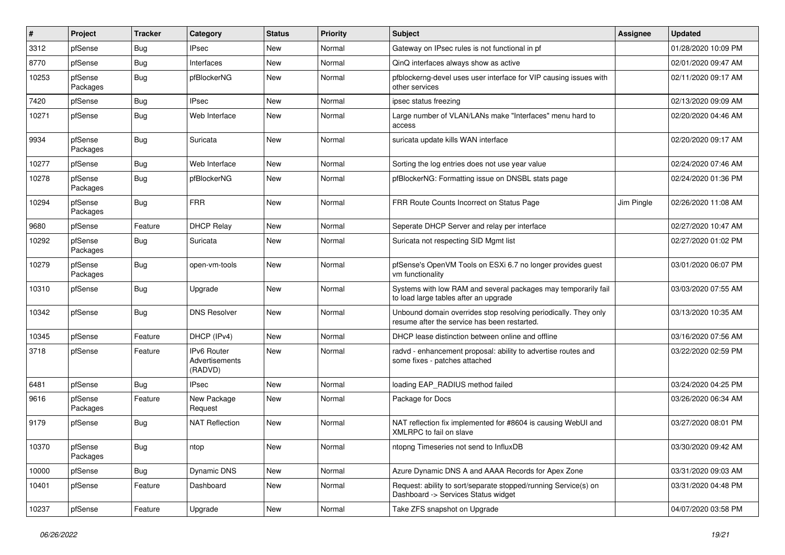| #     | Project             | <b>Tracker</b> | Category                                 | <b>Status</b> | Priority | Subject                                                                                                         | <b>Assignee</b> | <b>Updated</b>      |
|-------|---------------------|----------------|------------------------------------------|---------------|----------|-----------------------------------------------------------------------------------------------------------------|-----------------|---------------------|
| 3312  | pfSense             | <b>Bug</b>     | IPsec                                    | New           | Normal   | Gateway on IPsec rules is not functional in pf                                                                  |                 | 01/28/2020 10:09 PM |
| 8770  | pfSense             | <b>Bug</b>     | Interfaces                               | <b>New</b>    | Normal   | QinQ interfaces always show as active                                                                           |                 | 02/01/2020 09:47 AM |
| 10253 | pfSense<br>Packages | <b>Bug</b>     | pfBlockerNG                              | New           | Normal   | pfblockerng-devel uses user interface for VIP causing issues with<br>other services                             |                 | 02/11/2020 09:17 AM |
| 7420  | pfSense             | <b>Bug</b>     | <b>IPsec</b>                             | <b>New</b>    | Normal   | ipsec status freezing                                                                                           |                 | 02/13/2020 09:09 AM |
| 10271 | pfSense             | <b>Bug</b>     | Web Interface                            | New           | Normal   | Large number of VLAN/LANs make "Interfaces" menu hard to<br>access                                              |                 | 02/20/2020 04:46 AM |
| 9934  | pfSense<br>Packages | <b>Bug</b>     | Suricata                                 | <b>New</b>    | Normal   | suricata update kills WAN interface                                                                             |                 | 02/20/2020 09:17 AM |
| 10277 | pfSense             | <b>Bug</b>     | Web Interface                            | <b>New</b>    | Normal   | Sorting the log entries does not use year value                                                                 |                 | 02/24/2020 07:46 AM |
| 10278 | pfSense<br>Packages | <b>Bug</b>     | pfBlockerNG                              | New           | Normal   | pfBlockerNG: Formatting issue on DNSBL stats page                                                               |                 | 02/24/2020 01:36 PM |
| 10294 | pfSense<br>Packages | <b>Bug</b>     | <b>FRR</b>                               | <b>New</b>    | Normal   | FRR Route Counts Incorrect on Status Page                                                                       | Jim Pingle      | 02/26/2020 11:08 AM |
| 9680  | pfSense             | Feature        | <b>DHCP Relay</b>                        | New           | Normal   | Seperate DHCP Server and relay per interface                                                                    |                 | 02/27/2020 10:47 AM |
| 10292 | pfSense<br>Packages | <b>Bug</b>     | Suricata                                 | <b>New</b>    | Normal   | Suricata not respecting SID Mgmt list                                                                           |                 | 02/27/2020 01:02 PM |
| 10279 | pfSense<br>Packages | <b>Bug</b>     | open-vm-tools                            | New           | Normal   | pfSense's OpenVM Tools on ESXi 6.7 no longer provides guest<br>vm functionality                                 |                 | 03/01/2020 06:07 PM |
| 10310 | pfSense             | <b>Bug</b>     | Upgrade                                  | <b>New</b>    | Normal   | Systems with low RAM and several packages may temporarily fail<br>to load large tables after an upgrade         |                 | 03/03/2020 07:55 AM |
| 10342 | pfSense             | Bug            | <b>DNS Resolver</b>                      | <b>New</b>    | Normal   | Unbound domain overrides stop resolving periodically. They only<br>resume after the service has been restarted. |                 | 03/13/2020 10:35 AM |
| 10345 | pfSense             | Feature        | DHCP (IPv4)                              | <b>New</b>    | Normal   | DHCP lease distinction between online and offline                                                               |                 | 03/16/2020 07:56 AM |
| 3718  | pfSense             | Feature        | IPv6 Router<br>Advertisements<br>(RADVD) | <b>New</b>    | Normal   | radvd - enhancement proposal: ability to advertise routes and<br>some fixes - patches attached                  |                 | 03/22/2020 02:59 PM |
| 6481  | pfSense             | <b>Bug</b>     | <b>IPsec</b>                             | <b>New</b>    | Normal   | loading EAP_RADIUS method failed                                                                                |                 | 03/24/2020 04:25 PM |
| 9616  | pfSense<br>Packages | Feature        | New Package<br>Request                   | New           | Normal   | Package for Docs                                                                                                |                 | 03/26/2020 06:34 AM |
| 9179  | pfSense             | <b>Bug</b>     | <b>NAT Reflection</b>                    | <b>New</b>    | Normal   | NAT reflection fix implemented for #8604 is causing WebUI and<br>XMLRPC to fail on slave                        |                 | 03/27/2020 08:01 PM |
| 10370 | pfSense<br>Packages | <b>Bug</b>     | ntop                                     | New           | Normal   | ntopng Timeseries not send to InfluxDB                                                                          |                 | 03/30/2020 09:42 AM |
| 10000 | pfSense             | <b>Bug</b>     | Dynamic DNS                              | New           | Normal   | Azure Dynamic DNS A and AAAA Records for Apex Zone                                                              |                 | 03/31/2020 09:03 AM |
| 10401 | pfSense             | Feature        | Dashboard                                | New           | Normal   | Request: ability to sort/separate stopped/running Service(s) on<br>Dashboard -> Services Status widget          |                 | 03/31/2020 04:48 PM |
| 10237 | pfSense             | Feature        | Upgrade                                  | New           | Normal   | Take ZFS snapshot on Upgrade                                                                                    |                 | 04/07/2020 03:58 PM |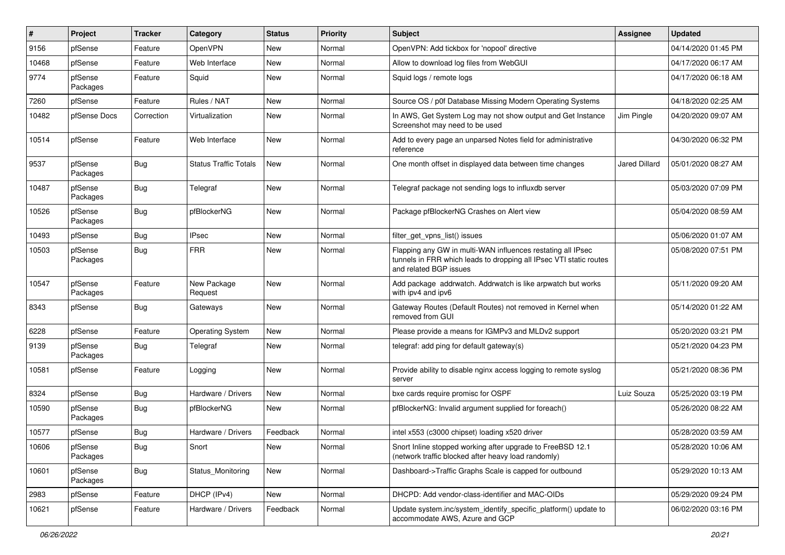| #     | Project             | <b>Tracker</b> | Category                     | <b>Status</b> | Priority | <b>Subject</b>                                                                                                                                              | <b>Assignee</b>      | <b>Updated</b>      |
|-------|---------------------|----------------|------------------------------|---------------|----------|-------------------------------------------------------------------------------------------------------------------------------------------------------------|----------------------|---------------------|
| 9156  | pfSense             | Feature        | OpenVPN                      | New           | Normal   | OpenVPN: Add tickbox for 'nopool' directive                                                                                                                 |                      | 04/14/2020 01:45 PM |
| 10468 | pfSense             | Feature        | Web Interface                | New           | Normal   | Allow to download log files from WebGUI                                                                                                                     |                      | 04/17/2020 06:17 AM |
| 9774  | pfSense<br>Packages | Feature        | Squid                        | New           | Normal   | Squid logs / remote logs                                                                                                                                    |                      | 04/17/2020 06:18 AM |
| 7260  | pfSense             | Feature        | Rules / NAT                  | New           | Normal   | Source OS / p0f Database Missing Modern Operating Systems                                                                                                   |                      | 04/18/2020 02:25 AM |
| 10482 | pfSense Docs        | Correction     | Virtualization               | New           | Normal   | In AWS, Get System Log may not show output and Get Instance<br>Screenshot may need to be used                                                               | Jim Pingle           | 04/20/2020 09:07 AM |
| 10514 | pfSense             | Feature        | Web Interface                | New           | Normal   | Add to every page an unparsed Notes field for administrative<br>reference                                                                                   |                      | 04/30/2020 06:32 PM |
| 9537  | pfSense<br>Packages | <b>Bug</b>     | <b>Status Traffic Totals</b> | New           | Normal   | One month offset in displayed data between time changes                                                                                                     | <b>Jared Dillard</b> | 05/01/2020 08:27 AM |
| 10487 | pfSense<br>Packages | <b>Bug</b>     | Telegraf                     | New           | Normal   | Telegraf package not sending logs to influxdb server                                                                                                        |                      | 05/03/2020 07:09 PM |
| 10526 | pfSense<br>Packages | <b>Bug</b>     | pfBlockerNG                  | New           | Normal   | Package pfBlockerNG Crashes on Alert view                                                                                                                   |                      | 05/04/2020 08:59 AM |
| 10493 | pfSense             | <b>Bug</b>     | <b>IPsec</b>                 | New           | Normal   | filter_get_vpns_list() issues                                                                                                                               |                      | 05/06/2020 01:07 AM |
| 10503 | pfSense<br>Packages | <b>Bug</b>     | <b>FRR</b>                   | New           | Normal   | Flapping any GW in multi-WAN influences restating all IPsec<br>tunnels in FRR which leads to dropping all IPsec VTI static routes<br>and related BGP issues |                      | 05/08/2020 07:51 PM |
| 10547 | pfSense<br>Packages | Feature        | New Package<br>Request       | New           | Normal   | Add package addrwatch. Addrwatch is like arpwatch but works<br>with ipv4 and ipv6                                                                           |                      | 05/11/2020 09:20 AM |
| 8343  | pfSense             | <b>Bug</b>     | Gateways                     | <b>New</b>    | Normal   | Gateway Routes (Default Routes) not removed in Kernel when<br>removed from GUI                                                                              |                      | 05/14/2020 01:22 AM |
| 6228  | pfSense             | Feature        | <b>Operating System</b>      | <b>New</b>    | Normal   | Please provide a means for IGMPv3 and MLDv2 support                                                                                                         |                      | 05/20/2020 03:21 PM |
| 9139  | pfSense<br>Packages | <b>Bug</b>     | Telegraf                     | New           | Normal   | telegraf: add ping for default gateway(s)                                                                                                                   |                      | 05/21/2020 04:23 PM |
| 10581 | pfSense             | Feature        | Logging                      | New           | Normal   | Provide ability to disable nginx access logging to remote syslog<br>server                                                                                  |                      | 05/21/2020 08:36 PM |
| 8324  | pfSense             | Bug            | Hardware / Drivers           | New           | Normal   | bxe cards require promisc for OSPF                                                                                                                          | Luiz Souza           | 05/25/2020 03:19 PM |
| 10590 | pfSense<br>Packages | <b>Bug</b>     | pfBlockerNG                  | New           | Normal   | pfBlockerNG: Invalid argument supplied for foreach()                                                                                                        |                      | 05/26/2020 08:22 AM |
| 10577 | pfSense             | <b>Bug</b>     | Hardware / Drivers           | Feedback      | Normal   | intel x553 (c3000 chipset) loading x520 driver                                                                                                              |                      | 05/28/2020 03:59 AM |
| 10606 | pfSense<br>Packages | Bug            | Snort                        | New           | Normal   | Snort Inline stopped working after upgrade to FreeBSD 12.1<br>(network traffic blocked after heavy load randomly)                                           |                      | 05/28/2020 10:06 AM |
| 10601 | pfSense<br>Packages | <b>Bug</b>     | Status Monitoring            | New           | Normal   | Dashboard->Traffic Graphs Scale is capped for outbound                                                                                                      |                      | 05/29/2020 10:13 AM |
| 2983  | pfSense             | Feature        | DHCP (IPv4)                  | New           | Normal   | DHCPD: Add vendor-class-identifier and MAC-OIDs                                                                                                             |                      | 05/29/2020 09:24 PM |
| 10621 | pfSense             | Feature        | Hardware / Drivers           | Feedback      | Normal   | Update system.inc/system_identify_specific_platform() update to<br>accommodate AWS, Azure and GCP                                                           |                      | 06/02/2020 03:16 PM |